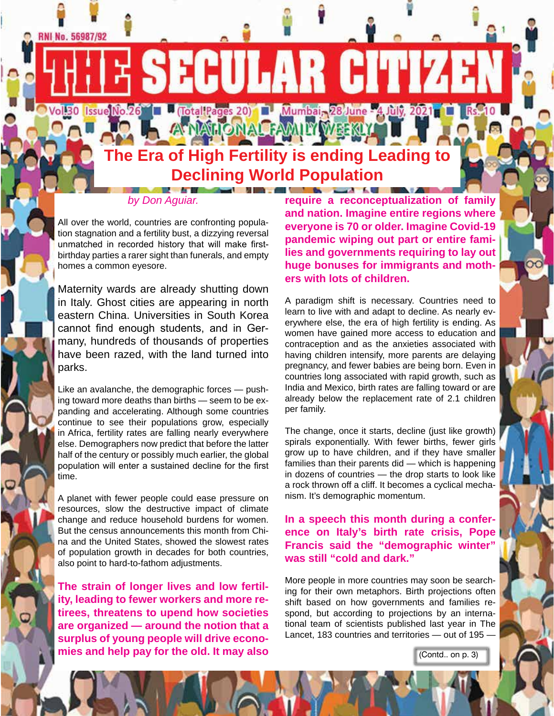**The Era of High Fertility is ending Leading to Declining World Population**

**SECULAR CIT** 

Vol.30 [Issue]No.26 | U (Total Pages 20) | U Mumbai, 28 June - 4 July, 2021 | U Rs. 10

**ATIALONALFAMITYMEERLY** 

#### *by Don Aguiar.*

**CONTRACTOR** 

**RNI No. 56987/92** 

All over the world, countries are confronting population stagnation and a fertility bust, a dizzying reversal unmatched in recorded history that will make firstbirthday parties a rarer sight than funerals, and empty homes a common eyesore.

Maternity wards are already shutting down in Italy. Ghost cities are appearing in north eastern China. Universities in South Korea cannot find enough students, and in Germany, hundreds of thousands of properties have been razed, with the land turned into parks.

Like an avalanche, the demographic forces — pushing toward more deaths than births — seem to be expanding and accelerating. Although some countries continue to see their populations grow, especially in Africa, fertility rates are falling nearly everywhere else. Demographers now predict that before the latter half of the century or possibly much earlier, the global population will enter a sustained decline for the first time.

A planet with fewer people could ease pressure on resources, slow the destructive impact of climate change and reduce household burdens for women. But the census announcements this month from China and the United States, showed the slowest rates of population growth in decades for both countries, also point to hard-to-fathom adjustments.

**The strain of longer lives and low fertility, leading to fewer workers and more retirees, threatens to upend how societies are organized — around the notion that a surplus of young people will drive economies and help pay for the old. It may also** 

**require a reconceptualization of family and nation. Imagine entire regions where everyone is 70 or older. Imagine Covid-19 pandemic wiping out part or entire families and governments requiring to lay out huge bonuses for immigrants and mothers with lots of children.**

A paradigm shift is necessary. Countries need to learn to live with and adapt to decline. As nearly everywhere else, the era of high fertility is ending. As women have gained more access to education and contraception and as the anxieties associated with having children intensify, more parents are delaying pregnancy, and fewer babies are being born. Even in countries long associated with rapid growth, such as India and Mexico, birth rates are falling toward or are already below the replacement rate of 2.1 children per family.

The change, once it starts, decline (just like growth) spirals exponentially. With fewer births, fewer girls grow up to have children, and if they have smaller families than their parents did — which is happening in dozens of countries — the drop starts to look like a rock thrown off a cliff. It becomes a cyclical mechanism. It's demographic momentum.

**In a speech this month during a conference on Italy's birth rate crisis, Pope Francis said the "demographic winter" was still "cold and dark."**

More people in more countries may soon be searching for their own metaphors. Birth projections often shift based on how governments and families respond, but according to projections by an international team of scientists published last year in The Lancet, 183 countries and territories — out of 195 —

(Contd.. on p. 3)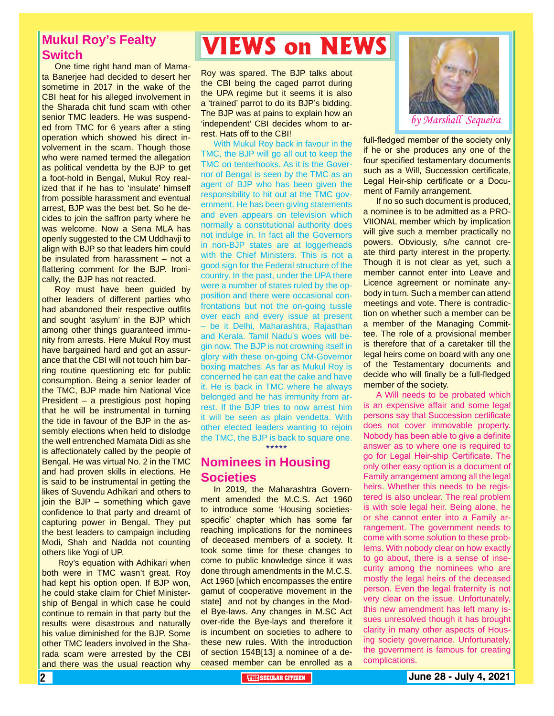### **Mukul Roy's Fealty Switch**

One time right hand man of Mamata Banerjee had decided to desert her sometime in 2017 in the wake of the CBI heat for his alleged involvement in the Sharada chit fund scam with other senior TMC leaders. He was suspended from TMC for 6 years after a sting operation which showed his direct involvement in the scam. Though those who were named termed the allegation as political vendetta by the BJP to get a foot-hold in Bengal, Mukul Roy realized that if he has to 'insulate' himself from possible harassment and eventual arrest, BJP was the best bet. So he decides to join the saffron party where he was welcome. Now a Sena MLA has openly suggested to the CM Uddhavji to align with BJP so that leaders him could be insulated from harassment – not a flattering comment for the BJP. Ironically, the BJP has not reacted.

Roy must have been guided by other leaders of different parties who had abandoned their respective outfits and sought 'asylum' in the BJP which among other things guaranteed immunity from arrests. Here Mukul Roy must have bargained hard and got an assurance that the CBI will not touch him barring routine questioning etc for public consumption. Being a senior leader of the TMC, BJP made him National Vice President – a prestigious post hoping that he will be instrumental in turning the tide in favour of the BJP in the assembly elections when held to dislodge the well entrenched Mamata Didi as she is affectionately called by the people of Bengal. He was virtual No. 2 in the TMC and had proven skills in elections. He is said to be instrumental in getting the likes of Suvendu Adhikari and others to join the BJP – something which gave confidence to that party and dreamt of capturing power in Bengal. They put the best leaders to campaign including Modi, Shah and Nadda not counting others like Yogi of UP.

 Roy's equation with Adhikari when both were in TMC wasn't great. Roy had kept his option open. If BJP won, he could stake claim for Chief Ministership of Bengal in which case he could continue to remain in that party but the results were disastrous and naturally his value diminished for the BJP. Some other TMC leaders involved in the Sharada scam were arrested by the CBI and there was the usual reaction why

## **VIEWS on NEWS**

Roy was spared. The BJP talks about the CBI being the caged parrot during the UPA regime but it seems it is also a 'trained' parrot to do its BJP's bidding. The BJP was at pains to explain how an 'independent' CBI decides whom to arrest. Hats off to the CBI!

With Mukul Roy back in favour in the TMC, the BJP will go all out to keep the TMC on tenterhooks. As it is the Governor of Bengal is seen by the TMC as an agent of BJP who has been given the responsibility to hit out at the TMC government. He has been giving statements and even appears on television which normally a constitutional authority does not indulge in. In fact all the Governors in non-BJP states are at loggerheads with the Chief Ministers. This is not a good sign for the Federal structure of the country. In the past, under the UPA there were a number of states ruled by the opposition and there were occasional confrontations but not the on-going tussle over each and every issue at present – be it Delhi, Maharashtra, Rajasthan and Kerala. Tamil Nadu's woes will begin now. The BJP is not crowning itself in glory with these on-going CM-Governor boxing matches. As far as Mukul Roy is concerned he can eat the cake and have it. He is back in TMC where he always belonged and he has immunity from arrest. If the BJP tries to now arrest him it will be seen as plain vendetta. With other elected leaders wanting to rejoin the TMC, the BJP is back to square one. \*\*\*\*\*

#### **Nominees in Housing Societies**

In 2019, the Maharashtra Government amended the M.C.S. Act 1960 to introduce some 'Housing societiesspecific' chapter which has some far reaching implications for the nominees of deceased members of a society. It took some time for these changes to come to public knowledge since it was done through amendments in the M.C.S. Act 1960 [which encompasses the entire gamut of cooperative movement in the state] and not by changes in the Model Bye-laws. Any changes in M.SC Act over-ride the Bye-lays and therefore it is incumbent on societies to adhere to these new rules. With the introduction of section 154B[13] a nominee of a deceased member can be enrolled as a



full-fledged member of the society only if he or she produces any one of the four specified testamentary documents such as a Will, Succession certificate, Legal Heir-ship certificate or a Document of Family arrangement.

If no so such document is produced, a nominee is to be admitted as a PRO-VIIONAL member which by implication will give such a member practically no powers. Obviously, s/he cannot create third party interest in the property. Though it is not clear as yet, such a member cannot enter into Leave and Licence agreement or nominate anybody in turn. Such a member can attend meetings and vote. There is contradiction on whether such a member can be a member of the Managing Committee. The role of a provisional member is therefore that of a caretaker till the legal heirs come on board with any one of the Testamentary documents and decide who will finally be a full-fledged member of the society.

the government is famous for creating<br>complications. A Will needs to be probated which is an expensive affair and some legal persons say that Succession certificate does not cover immovable property. Nobody has been able to give a definite answer as to where one is required to go for Legal Heir-ship Certificate. The only other easy option is a document of Family arrangement among all the legal heirs. Whether this needs to be registered is also unclear. The real problem is with sole legal heir. Being alone, he or she cannot enter into a Family arrangement. The government needs to come with some solution to these problems. With nobody clear on how exactly to go about, there is a sense of insecurity among the nominees who are mostly the legal heirs of the deceased person. Even the legal fraternity is not very clear on the issue. Unfortunately, this new amendment has left many issues unresolved though it has brought clarity in many other aspects of Housing society governance. Unfortunately, complications.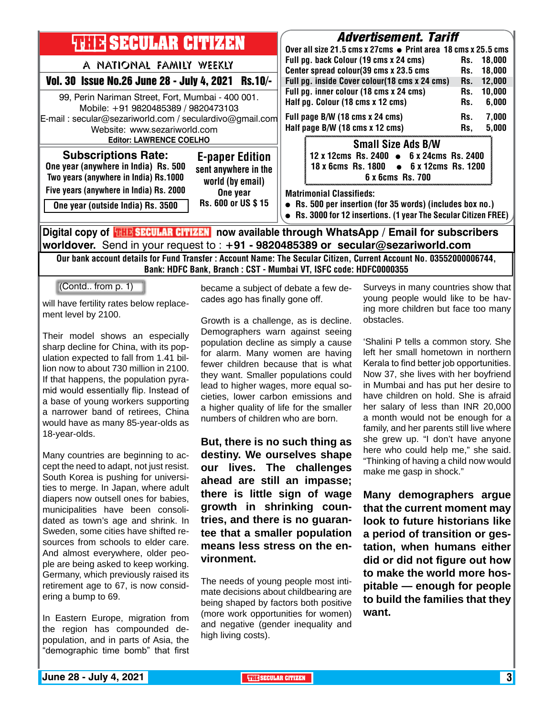| <b>THIE SECULAR CITIZEN</b><br>A NATIONAL FAMILY WEEKLY<br>Vol. 30 Issue No.26 June 28 - July 4, 2021 Rs.10/-<br>99, Perin Nariman Street, Fort, Mumbai - 400 001.<br>Mobile: +91 9820485389 / 9820473103<br>E-mail: secular@sezariworld.com / seculardivo@gmail.com<br>Website: www.sezariworld.com<br><b>Editor: LAWRENCE COELHO</b> | <i><b>Advertisement. Tariff</b></i><br>Over all size 21.5 cms x 27cms $\bullet$ Print area 18 cms x 25.5 cms<br>Full pg. back Colour (19 cms x 24 cms)<br>Rs. 18,000<br>Center spread colour(39 cms x 23.5 cms<br>18,000<br>Rs.<br>Full pg. inside Cover colour(18 cms x 24 cms)<br>12,000<br>Rs.<br>Full pg. inner colour (18 cms x 24 cms)<br>10,000<br>Rs.<br>Half pg. Colour (18 cms x 12 cms)<br>6,000<br>Rs.<br>Full page B/W (18 cms x 24 cms)<br>7,000<br>Rs.<br>Half page B/W (18 cms x 12 cms)<br>5,000<br>Rs, |
|----------------------------------------------------------------------------------------------------------------------------------------------------------------------------------------------------------------------------------------------------------------------------------------------------------------------------------------|--------------------------------------------------------------------------------------------------------------------------------------------------------------------------------------------------------------------------------------------------------------------------------------------------------------------------------------------------------------------------------------------------------------------------------------------------------------------------------------------------------------------------|
| <b>Subscriptions Rate:</b><br><b>E-paper Edition</b><br>One year (anywhere in India) Rs. 500<br>sent anywhere in the<br>Two years (anywhere in India) Rs.1000<br>world (by email)                                                                                                                                                      | <b>Small Size Ads B/W</b><br>12 x 12cms Rs. 2400 • 6 x 24cms Rs. 2400<br>18 x 6cms Rs. 1800 • 6 x 12cms Rs. 1200<br>6 x 6cms Rs. 700                                                                                                                                                                                                                                                                                                                                                                                     |
| Five years (anywhere in India) Rs. 2000<br>One year<br>Rs. 600 or US \$15<br>One year (outside India) Rs. 3500                                                                                                                                                                                                                         | <b>Matrimonial Classifieds:</b><br>• Rs. 500 per insertion (for 35 words) (includes box no.)<br>• Rs. 3000 for 12 insertions. (1 year The Secular Citizen FREE)                                                                                                                                                                                                                                                                                                                                                          |
| Digital copy of <b>THE SECULAR CITIZEN</b> now available through WhatsApp / Email for subscribers<br>worldover. Send in your request to : +91 - 9820485389 or secular@sezariworld.com                                                                                                                                                  |                                                                                                                                                                                                                                                                                                                                                                                                                                                                                                                          |

Our bank account details for Fund Transfer : Account Name: The Secular Citizen, Current Account No. 03552000006744, Bank: HDFC Bank, Branch : CST - Mumbai VT, ISFC code: HDFC0000355

(Contd.. from p. 1)

will have fertility rates below replacement level by 2100.

Their model shows an especially sharp decline for China, with its population expected to fall from 1.41 billion now to about 730 million in 2100. If that happens, the population pyramid would essentially flip. Instead of a base of young workers supporting a narrower band of retirees, China would have as many 85-year-olds as 18-year-olds.

Many countries are beginning to accept the need to adapt, not just resist. South Korea is pushing for universities to merge. In Japan, where adult diapers now outsell ones for babies, municipalities have been consolidated as town's age and shrink. In Sweden, some cities have shifted resources from schools to elder care. And almost everywhere, older people are being asked to keep working. Germany, which previously raised its retirement age to 67, is now considering a bump to 69.

In Eastern Europe, migration from the region has compounded depopulation, and in parts of Asia, the "demographic time bomb" that first became a subject of debate a few decades ago has finally gone off.

Growth is a challenge, as is decline. Demographers warn against seeing population decline as simply a cause for alarm. Many women are having fewer children because that is what they want. Smaller populations could lead to higher wages, more equal societies, lower carbon emissions and a higher quality of life for the smaller numbers of children who are born.

**But, there is no such thing as destiny. We ourselves shape our lives. The challenges ahead are still an impasse; there is little sign of wage growth in shrinking countries, and there is no guarantee that a smaller population means less stress on the environment.**

The needs of young people most intimate decisions about childbearing are being shaped by factors both positive (more work opportunities for women) and negative (gender inequality and high living costs).

Surveys in many countries show that young people would like to be having more children but face too many obstacles.

'Shalini P tells a common story. She left her small hometown in northern Kerala to find better job opportunities. Now 37, she lives with her boyfriend in Mumbai and has put her desire to have children on hold. She is afraid her salary of less than INR 20,000 a month would not be enough for a family, and her parents still live where she grew up. "I don't have anyone here who could help me," she said. "Thinking of having a child now would make me gasp in shock."

**Many demographers argue that the current moment may look to future historians like a period of transition or gestation, when humans either did or did not figure out how to make the world more hospitable — enough for people to build the families that they want.**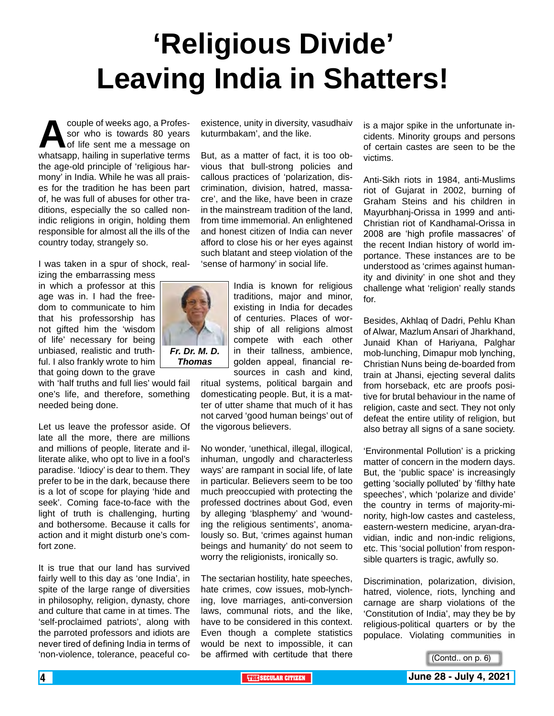# **'Religious Divide' Leaving India in Shatters!**

couple of weeks ago, a Professor<br>
sor who is towards 80 years<br>
of life sent me a message on<br>
whatsapp. hailing in superlative terms sor who is towards 80 years of life sent me a message on whatsapp, hailing in superlative terms the age-old principle of 'religious harmony' in India. While he was all praises for the tradition he has been part of, he was full of abuses for other traditions, especially the so called nonindic religions in origin, holding them responsible for almost all the ills of the country today, strangely so.

I was taken in a spur of shock, real-

izing the embarrassing mess in which a professor at this age was in. I had the freedom to communicate to him that his professorship has not gifted him the 'wisdom of life' necessary for being unbiased, realistic and truthful. I also frankly wrote to him that going down to the grave

with 'half truths and full lies' would fail one's life, and therefore, something needed being done.

Let us leave the professor aside. Of late all the more, there are millions and millions of people, literate and illiterate alike, who opt to live in a fool's paradise. 'Idiocy' is dear to them. They prefer to be in the dark, because there is a lot of scope for playing 'hide and seek'. Coming face-to-face with the light of truth is challenging, hurting and bothersome. Because it calls for action and it might disturb one's comfort zone.

It is true that our land has survived fairly well to this day as 'one India', in spite of the large range of diversities in philosophy, religion, dynasty, chore and culture that came in at times. The 'self-proclaimed patriots', along with the parroted professors and idiots are never tired of defining India in terms of 'non-violence, tolerance, peaceful coexistence, unity in diversity, vasudhaiv kuturmbakam', and the like.

But, as a matter of fact, it is too obvious that bull-strong policies and callous practices of 'polarization, discrimination, division, hatred, massacre', and the like, have been in craze in the mainstream tradition of the land, from time immemorial. An enlightened and honest citizen of India can never afford to close his or her eyes against such blatant and steep violation of the 'sense of harmony' in social life.



traditions, major and minor, existing in India for decades of centuries. Places of worship of all religions almost compete with each other in their tallness, ambience, golden appeal, financial resources in cash and kind,

ritual systems, political bargain and domesticating people. But, it is a matter of utter shame that much of it has not carved 'good human beings' out of the vigorous believers.

No wonder, 'unethical, illegal, illogical, inhuman, ungodly and characterless ways' are rampant in social life, of late in particular. Believers seem to be too much preoccupied with protecting the professed doctrines about God, even by alleging 'blasphemy' and 'wounding the religious sentiments', anomalously so. But, 'crimes against human beings and humanity' do not seem to worry the religionists, ironically so.

The sectarian hostility, hate speeches, hate crimes, cow issues, mob-lynching, love marriages, anti-conversion laws, communal riots, and the like, have to be considered in this context. Even though a complete statistics would be next to impossible, it can be affirmed with certitude that there

is a major spike in the unfortunate incidents. Minority groups and persons of certain castes are seen to be the victims.

Anti-Sikh riots in 1984, anti-Muslims riot of Gujarat in 2002, burning of Graham Steins and his children in Mayurbhanj-Orissa in 1999 and anti-Christian riot of Kandhamal-Orissa in 2008 are 'high profile massacres' of the recent Indian history of world importance. These instances are to be understood as 'crimes against humanity and divinity' in one shot and they challenge what 'religion' really stands for.

Besides, Akhlaq of Dadri, Pehlu Khan of Alwar, Mazlum Ansari of Jharkhand, Junaid Khan of Hariyana, Palghar mob-lunching, Dimapur mob lynching, Christian Nuns being de-boarded from train at Jhansi, ejecting several dalits from horseback, etc are proofs positive for brutal behaviour in the name of religion, caste and sect. They not only defeat the entire utility of religion, but also betray all signs of a sane society.

'Environmental Pollution' is a pricking matter of concern in the modern days. But, the 'public space' is increasingly getting 'socially polluted' by 'filthy hate speeches', which 'polarize and divide' the country in terms of majority-minority, high-low castes and casteless, eastern-western medicine, aryan-dravidian, indic and non-indic religions, etc. This 'social pollution' from responsible quarters is tragic, awfully so.

Discrimination, polarization, division, hatred, violence, riots, lynching and carnage are sharp violations of the 'Constitution of India', may they be by religious-political quarters or by the populace. Violating communities in

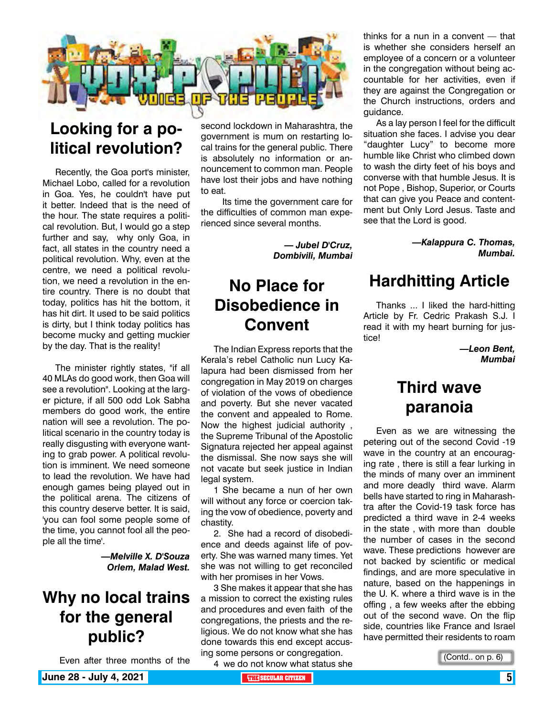

## **Looking for a political revolution?**

Recently, the Goa port's minister, Michael Lobo, called for a revolution in Goa. Yes, he couldn't have put it better. Indeed that is the need of the hour. The state requires a political revolution. But, I would go a step further and say, why only Goa, in fact, all states in the country need a political revolution. Why, even at the centre, we need a political revolution, we need a revolution in the entire country. There is no doubt that today, politics has hit the bottom, it has hit dirt. It used to be said politics is dirty, but I think today politics has become mucky and getting muckier by the day. That is the reality!

The minister rightly states, "if all 40 MLAs do good work, then Goa will see a revolution". Looking at the larger picture, if all 500 odd Lok Sabha members do good work, the entire nation will see a revolution. The political scenario in the country today is really disgusting with everyone wanting to grab power. A political revolution is imminent. We need someone to lead the revolution. We have had enough games being played out in the political arena. The citizens of this country deserve better. It is said, 'you can fool some people some of the time, you cannot fool all the people all the time'.

> *—Melville X. D'Souza Orlem, Malad West.*

## **Why no local trains for the general public?**

Even after three months of the

second lockdown in Maharashtra, the government is mum on restarting local trains for the general public. There is absolutely no information or announcement to common man. People have lost their jobs and have nothing to eat.

 Its time the government care for the difficulties of common man experienced since several months.

> *— Jubel D'Cruz, Dombivili, Mumbai*

## **No Place for Disobedience in Convent**

The Indian Express reports that the Kerala's rebel Catholic nun Lucy Kalapura had been dismissed from her congregation in May 2019 on charges of violation of the vows of obedience and poverty. But she never vacated the convent and appealed to Rome. Now the highest judicial authority , the Supreme Tribunal of the Apostolic Signatura rejected her appeal against the dismissal. She now says she will not vacate but seek justice in Indian legal system.

1 She became a nun of her own will without any force or coercion taking the vow of obedience, poverty and chastity.

2. She had a record of disobedience and deeds against life of poverty. She was warned many times. Yet she was not willing to get reconciled with her promises in her Vows.

3 She makes it appear that she has a mission to correct the existing rules and procedures and even faith of the congregations, the priests and the religious. We do not know what she has done towards this end except accusing some persons or congregation.

4 we do not know what status she

thinks for a nun in a convent — that is whether she considers herself an employee of a concern or a volunteer in the congregation without being accountable for her activities, even if they are against the Congregation or the Church instructions, orders and guidance.

As a lay person I feel for the difficult situation she faces. I advise you dear "daughter Lucy" to become more humble like Christ who climbed down to wash the dirty feet of his boys and converse with that humble Jesus. It is not Pope , Bishop, Superior, or Courts that can give you Peace and contentment but Only Lord Jesus. Taste and see that the Lord is good.

> *—Kalappura C. Thomas, Mumbai.*

### **Hardhitting Article**

Thanks ... I liked the hard-hitting Article by Fr. Cedric Prakash S.J. I read it with my heart burning for justice!

> *—Leon Bent, Mumbai*

### **Third wave paranoia**

Even as we are witnessing the petering out of the second Covid -19 wave in the country at an encouraging rate , there is still a fear lurking in the minds of many over an imminent and more deadly third wave. Alarm bells have started to ring in Maharashtra after the Covid-19 task force has predicted a third wave in 2-4 weeks in the state , with more than double the number of cases in the second wave. These predictions however are not backed by scientific or medical findings, and are more speculative in nature, based on the happenings in the U. K. where a third wave is in the offing , a few weeks after the ebbing out of the second wave. On the flip side, countries like France and Israel have permitted their residents to roam

(Contd.. on p. 6)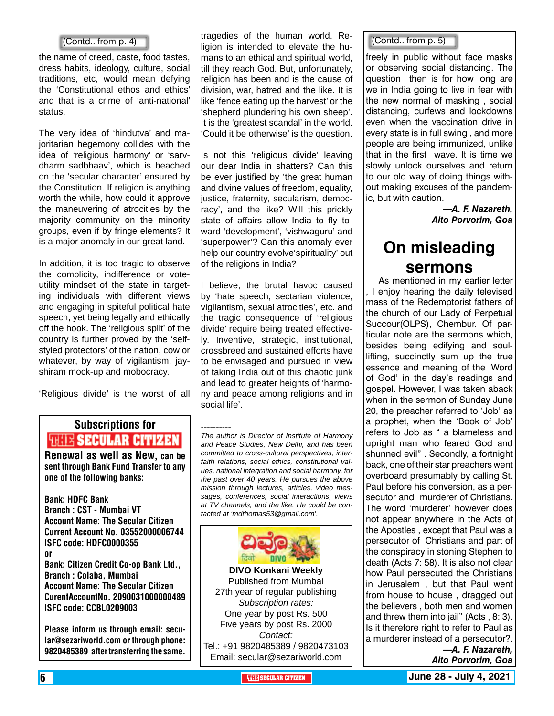the name of creed, caste, food tastes, dress habits, ideology, culture, social traditions, etc, would mean defying the 'Constitutional ethos and ethics' and that is a crime of 'anti-national' status.

The very idea of 'hindutva' and majoritarian hegemony collides with the idea of 'religious harmony' or 'sarvdharm sadbhaav', which is beached on the 'secular character' ensured by the Constitution. If religion is anything worth the while, how could it approve the maneuvering of atrocities by the majority community on the minority groups, even if by fringe elements? It is a major anomaly in our great land.

In addition, it is too tragic to observe the complicity, indifference or voteutility mindset of the state in targeting individuals with different views and engaging in spiteful political hate speech, yet being legally and ethically off the hook. The 'religious split' of the country is further proved by the 'selfstyled protectors' of the nation, cow or whatever, by way of vigilantism, jayshiram mock-up and mobocracy.

'Religious divide' is the worst of all

## Subscriptions for **RENEW AR CITIZEN**<br>Renewal as well as New, can be

sent through Bank Fund Transfer to any one of the following banks:

Bank: HDFC Bank Branch : CST - Mumbai VT Account Name: The Secular Citizen Current Account No. 03552000006744 ISFC code: HDFC0000355 or Bank: Citizen Credit Co-op Bank Ltd., Branch : Colaba, Mumbai Account Name: The Secular Citizen CurentAccountNo. 2090031000000489 ISFC code: CCBL0209003

Please inform us through email: secular@sezariworld.com or through phone: 9820485389 after transferring the same.

tragedies of the human world. Religion is intended to elevate the humans to an ethical and spiritual world, till they reach God. But, unfortunately, religion has been and is the cause of division, war, hatred and the like. It is like 'fence eating up the harvest' or the 'shepherd plundering his own sheep'. It is the 'greatest scandal' in the world. 'Could it be otherwise' is the question.  $\begin{bmatrix} \text{[Contd., from p. 4]} \end{bmatrix}$  algenes of the Human world.  $\begin{bmatrix} \text{[Contd., from p. 5]} \end{bmatrix}$ 

> Is not this 'religious divide' leaving our dear India in shatters? Can this be ever justified by 'the great human and divine values of freedom, equality, justice, fraternity, secularism, democracy', and the like? Will this prickly state of affairs allow India to fly toward 'development', 'vishwaguru' and 'superpower'? Can this anomaly ever help our country evolve'spirituality' out of the religions in India?

> I believe, the brutal havoc caused by 'hate speech, sectarian violence, vigilantism, sexual atrocities', etc. and the tragic consequence of 'religious divide' require being treated effectively. Inventive, strategic, institutional, crossbreed and sustained efforts have to be envisaged and pursued in view of taking India out of this chaotic junk and lead to greater heights of 'harmony and peace among religions and in social life'.

> ---------- *The author is Director of Institute of Harmony and Peace Studies, New Delhi, and has been committed to cross-cultural perspectives, interfaith relations, social ethics, constitutional values, national integration and social harmony, for the past over 40 years. He pursues the above mission through lectures, articles, video messages, conferences, social interactions, views at TV channels, and the like. He could be contacted at 'mdthomas53@gmail.com'.*



freely in public without face masks or observing social distancing. The question then is for how long are we in India going to live in fear with the new normal of masking , social distancing, curfews and lockdowns even when the vaccination drive in every state is in full swing , and more people are being immunized, unlike that in the first wave. It is time we slowly unlock ourselves and return to our old way of doing things without making excuses of the pandemic, but with caution.

> *—A. F. Nazareth, Alto Porvorim, Goa*

### **On misleading sermons**

As mentioned in my earlier letter I enjoy hearing the daily televised mass of the Redemptorist fathers of the church of our Lady of Perpetual Succour(OLPS), Chembur. Of particular note are the sermons which, besides being edifying and soullifting, succinctly sum up the true essence and meaning of the 'Word of God' in the day's readings and gospel. However, I was taken aback when in the sermon of Sunday June 20, the preacher referred to 'Job' as a prophet, when the 'Book of Job' refers to Job as " a blameless and upright man who feared God and shunned evil" . Secondly, a fortnight back, one of their star preachers went overboard presumably by calling St. Paul before his conversion, as a persecutor and murderer of Christians. The word 'murderer' however does not appear anywhere in the Acts of the Apostles , except that Paul was a persecutor of Christians and part of the conspiracy in stoning Stephen to death (Acts 7: 58). It is also not clear how Paul persecuted the Christians in Jerusalem , but that Paul went from house to house , dragged out the believers , both men and women and threw them into jail" (Acts , 8: 3). Is it therefore right to refer to Paul as a murderer instead of a persecutor?. *—A. F. Nazareth,* 

*Alto Porvorim, Goa*

6 **THE SECULAR CITIZEN June 28 - July 4, 2021**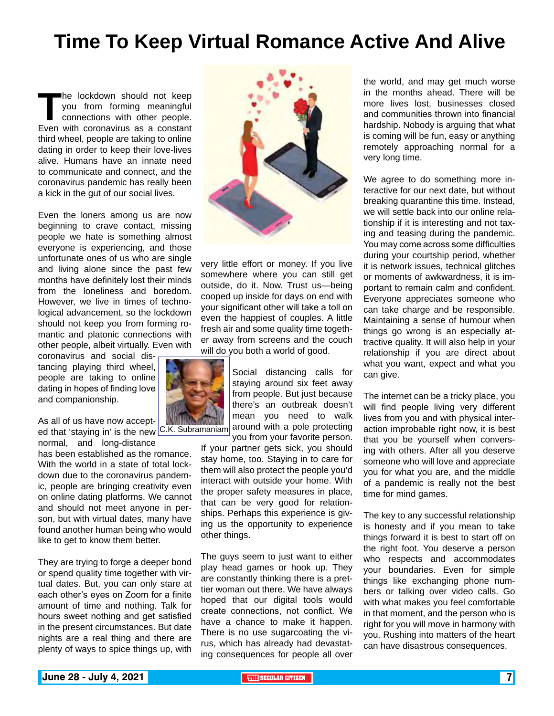## **Time To Keep Virtual Romance Active And Alive**

The lockdown should not keep<br>
you from forming meaningful<br>
connections with other people.<br>
Even with coronavirus as a constant you from forming meaningful connections with other people. third wheel, people are taking to online dating in order to keep their love-lives alive. Humans have an innate need to communicate and connect, and the coronavirus pandemic has really been a kick in the gut of our social lives.

Even the loners among us are now beginning to crave contact, missing people we hate is something almost everyone is experiencing, and those unfortunate ones of us who are single and living alone since the past few months have definitely lost their minds from the loneliness and boredom. However, we live in times of technological advancement, so the lockdown should not keep you from forming romantic and platonic connections with other people, albeit virtually. Even with

coronavirus and social distancing playing third wheel, people are taking to online dating in hopes of finding love and companionship.

As all of us have now acceptnormal, and long-distance

has been established as the romance. With the world in a state of total lockdown due to the coronavirus pandemic, people are bringing creativity even on online dating platforms. We cannot and should not meet anyone in person, but with virtual dates, many have found another human being who would like to get to know them better.

They are trying to forge a deeper bond or spend quality time together with virtual dates. But, you can only stare at each other's eyes on Zoom for a finite amount of time and nothing. Talk for hours sweet nothing and get satisfied in the present circumstances. But date nights are a real thing and there are plenty of ways to spice things up, with



very little effort or money. If you live somewhere where you can still get outside, do it. Now. Trust us—being cooped up inside for days on end with your significant other will take a toll on even the happiest of couples. A little fresh air and some quality time together away from screens and the couch will do you both a world of good.

 $\frac{1}{100}$  and the new that is the new  $\frac{1}{100}$  C.K. Subramaniam around with a pole protecting eq that 'staying in' is the new  $\frac{1}{100}$ . Social distancing calls for staying around six feet away from people. But just because there's an outbreak doesn't mean you need to walk you from your favorite person.

If your partner gets sick, you should stay home, too. Staying in to care for them will also protect the people you'd interact with outside your home. With the proper safety measures in place, that can be very good for relationships. Perhaps this experience is giving us the opportunity to experience other things.

The guys seem to just want to either play head games or hook up. They are constantly thinking there is a prettier woman out there. We have always hoped that our digital tools would create connections, not conflict. We have a chance to make it happen. There is no use sugarcoating the virus, which has already had devastating consequences for people all over

the world, and may get much worse in the months ahead. There will be more lives lost, businesses closed and communities thrown into financial hardship. Nobody is arguing that what is coming will be fun, easy or anything remotely approaching normal for a very long time.

We agree to do something more interactive for our next date, but without breaking quarantine this time. Instead, we will settle back into our online relationship if it is interesting and not taxing and teasing during the pandemic. You may come across some difficulties during your courtship period, whether it is network issues, technical glitches or moments of awkwardness, it is important to remain calm and confident. Everyone appreciates someone who can take charge and be responsible. Maintaining a sense of humour when things go wrong is an especially attractive quality. It will also help in your relationship if you are direct about what you want, expect and what you can give.

The internet can be a tricky place, you will find people living very different lives from you and with physical interaction improbable right now, it is best that you be yourself when conversing with others. After all you deserve someone who will love and appreciate you for what you are, and the middle of a pandemic is really not the best time for mind games.

The key to any successful relationship is honesty and if you mean to take things forward it is best to start off on the right foot. You deserve a person who respects and accommodates your boundaries. Even for simple things like exchanging phone numbers or talking over video calls. Go with what makes you feel comfortable in that moment, and the person who is right for you will move in harmony with you. Rushing into matters of the heart can have disastrous consequences.

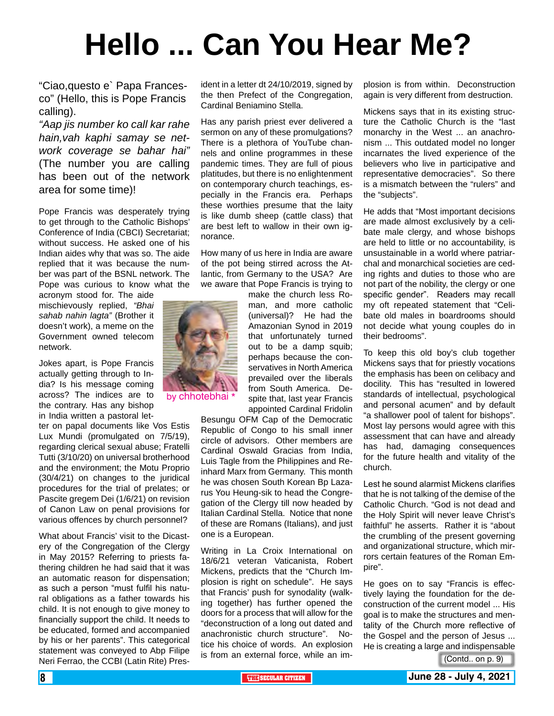# **Hello ... Can You Hear Me?**

"Ciao,questo e` Papa Francesco" (Hello, this is Pope Francis calling).

*"Aap jis number ko call kar rahe hain,vah kaphi samay se network coverage se bahar hai"* (The number you are calling has been out of the network area for some time)!

Pope Francis was desperately trying to get through to the Catholic Bishops' Conference of India (CBCI) Secretariat; without success. He asked one of his Indian aides why that was so. The aide replied that it was because the number was part of the BSNL network. The Pope was curious to know what the acronym stood for. The aide

mischievously replied, *"Bhai sahab nahin lagta"* (Brother it doesn't work), a meme on the Government owned telecom network.

Jokes apart, is Pope Francis actually getting through to India? Is his message coming across? The indices are to the contrary. Has any bishop in India written a pastoral let-

ter on papal documents like Vos Estis Lux Mundi (promulgated on 7/5/19), regarding clerical sexual abuse; Fratelli Tutti (3/10/20) on universal brotherhood and the environment; the Motu Proprio (30/4/21) on changes to the juridical procedures for the trial of prelates; or Pascite gregem Dei (1/6/21) on revision of Canon Law on penal provisions for various offences by church personnel?

What about Francis' visit to the Dicastery of the Congregation of the Clergy in May 2015? Referring to priests fathering children he had said that it was an automatic reason for dispensation; as such a person "must fulfil his natural obligations as a father towards his child. It is not enough to give money to financially support the child. It needs to be educated, formed and accompanied by his or her parents". This categorical statement was conveyed to Abp Filipe Neri Ferrao, the CCBI (Latin Rite) President in a letter dt 24/10/2019, signed by the then Prefect of the Congregation, Cardinal Beniamino Stella.

Has any parish priest ever delivered a sermon on any of these promulgations? There is a plethora of YouTube channels and online programmes in these pandemic times. They are full of pious platitudes, but there is no enlightenment on contemporary church teachings, especially in the Francis era. Perhaps these worthies presume that the laity is like dumb sheep (cattle class) that are best left to wallow in their own ignorance.

How many of us here in India are aware of the pot being stirred across the Atlantic, from Germany to the USA? Are we aware that Pope Francis is trying to

make the church less Roman, and more catholic (universal)? He had the Amazonian Synod in 2019 that unfortunately turned out to be a damp squib; perhaps because the conservatives in North America prevailed over the liberals from South America. Despite that, last year Francis appointed Cardinal Fridolin

Besungu OFM Cap of the Democratic Republic of Congo to his small inner circle of advisors. Other members are Cardinal Oswald Gracias from India, Luis Tagle from the Philippines and Reinhard Marx from Germany. This month he was chosen South Korean Bp Lazarus You Heung-sik to head the Congregation of the Clergy till now headed by Italian Cardinal Stella. Notice that none of these are Romans (Italians), and just one is a European.

Writing in La Croix International on 18/6/21 veteran Vaticanista, Robert Mickens, predicts that the "Church Implosion is right on schedule". He says that Francis' push for synodality (walking together) has further opened the doors for a process that will allow for the "deconstruction of a long out dated and anachronistic church structure". Notice his choice of words. An explosion is from an external force, while an implosion is from within. Deconstruction again is very different from destruction.

Mickens says that in its existing structure the Catholic Church is the "last monarchy in the West ... an anachronism ... This outdated model no longer incarnates the lived experience of the believers who live in participative and representative democracies". So there is a mismatch between the "rulers" and the "subjects".

He adds that "Most important decisions are made almost exclusively by a celibate male clergy, and whose bishops are held to little or no accountability, is unsustainable in a world where patriarchal and monarchical societies are ceding rights and duties to those who are not part of the nobility, the clergy or one specific gender". Readers may recall my oft repeated statement that "Celibate old males in boardrooms should not decide what young couples do in their bedrooms".

To keep this old boy's club together Mickens says that for priestly vocations the emphasis has been on celibacy and docility. This has "resulted in lowered standards of intellectual, psychological and personal acumen" and by default "a shallower pool of talent for bishops". Most lay persons would agree with this assessment that can have and already has had, damaging consequences for the future health and vitality of the church.

Lest he sound alarmist Mickens clarifies that he is not talking of the demise of the Catholic Church. "God is not dead and the Holy Spirit will never leave Christ's faithful" he asserts. Rather it is "about the crumbling of the present governing and organizational structure, which mirrors certain features of the Roman Empire".

He goes on to say "Francis is effectively laying the foundation for the deconstruction of the current model ... His goal is to make the structures and mentality of the Church more reflective of the Gospel and the person of Jesus ... He is creating a large and indispensable

(Contd.. on p. 9)



by chhotebhai \*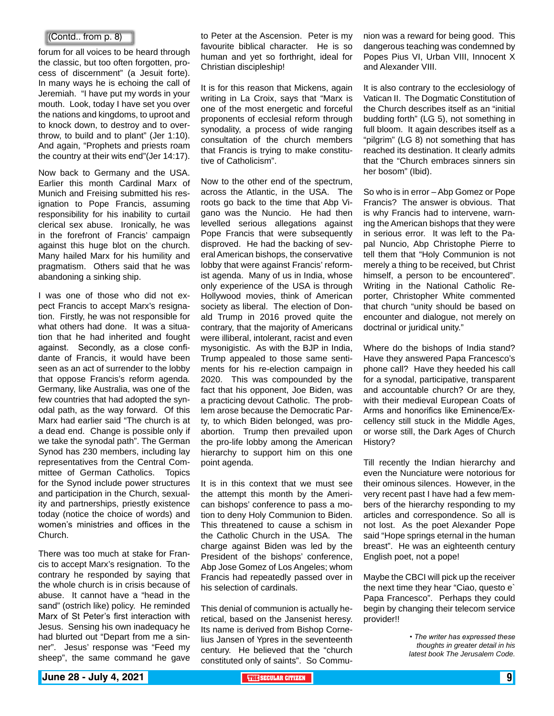#### (Contd.. from p. 8)

forum for all voices to be heard through the classic, but too often forgotten, process of discernment" (a Jesuit forte). In many ways he is echoing the call of Jeremiah. "I have put my words in your mouth. Look, today I have set you over the nations and kingdoms, to uproot and to knock down, to destroy and to overthrow, to build and to plant" (Jer 1:10). And again, "Prophets and priests roam the country at their wits end"(Jer 14:17).

Now back to Germany and the USA. Earlier this month Cardinal Marx of Munich and Freising submitted his resignation to Pope Francis, assuming responsibility for his inability to curtail clerical sex abuse. Ironically, he was in the forefront of Francis' campaign against this huge blot on the church. Many hailed Marx for his humility and pragmatism. Others said that he was abandoning a sinking ship.

I was one of those who did not expect Francis to accept Marx's resignation. Firstly, he was not responsible for what others had done. It was a situation that he had inherited and fought against. Secondly, as a close confidante of Francis, it would have been seen as an act of surrender to the lobby that oppose Francis's reform agenda. Germany, like Australia, was one of the few countries that had adopted the synodal path, as the way forward. Of this Marx had earlier said "The church is at a dead end. Change is possible only if we take the synodal path". The German Synod has 230 members, including lay representatives from the Central Committee of German Catholics. Topics for the Synod include power structures and participation in the Church, sexuality and partnerships, priestly existence today (notice the choice of words) and women's ministries and offices in the Church.

There was too much at stake for Francis to accept Marx's resignation. To the contrary he responded by saying that the whole church is in crisis because of abuse. It cannot have a "head in the sand" (ostrich like) policy. He reminded Marx of St Peter's first interaction with Jesus. Sensing his own inadequacy he had blurted out "Depart from me a sinner". Jesus' response was "Feed my sheep", the same command he gave to Peter at the Ascension. Peter is my favourite biblical character. He is so human and yet so forthright, ideal for Christian discipleship!

It is for this reason that Mickens, again writing in La Croix, says that "Marx is one of the most energetic and forceful proponents of ecclesial reform through synodality, a process of wide ranging consultation of the church members that Francis is trying to make constitutive of Catholicism".

Now to the other end of the spectrum, across the Atlantic, in the USA. The roots go back to the time that Abp Vigano was the Nuncio. He had then levelled serious allegations against Pope Francis that were subsequently disproved. He had the backing of several American bishops, the conservative lobby that were against Francis' reformist agenda. Many of us in India, whose only experience of the USA is through Hollywood movies, think of American society as liberal. The election of Donald Trump in 2016 proved quite the contrary, that the majority of Americans were illiberal, intolerant, racist and even mysonigistic. As with the BJP in India, Trump appealed to those same sentiments for his re-election campaign in 2020. This was compounded by the fact that his opponent, Joe Biden, was a practicing devout Catholic. The problem arose because the Democratic Party, to which Biden belonged, was proabortion. Trump then prevailed upon the pro-life lobby among the American hierarchy to support him on this one point agenda.

It is in this context that we must see the attempt this month by the American bishops' conference to pass a motion to deny Holy Communion to Biden. This threatened to cause a schism in the Catholic Church in the USA. The charge against Biden was led by the President of the bishops' conference, Abp Jose Gomez of Los Angeles; whom Francis had repeatedly passed over in his selection of cardinals.

This denial of communion is actually heretical, based on the Jansenist heresy. Its name is derived from Bishop Cornelius Jansen of Ypres in the seventeenth century. He believed that the "church constituted only of saints". So Communion was a reward for being good. This dangerous teaching was condemned by Popes Pius VI, Urban VIII, Innocent X and Alexander VIII.

It is also contrary to the ecclesiology of Vatican II. The Dogmatic Constitution of the Church describes itself as an "initial budding forth" (LG 5), not something in full bloom. It again describes itself as a "pilgrim" (LG 8) not something that has reached its destination. It clearly admits that the "Church embraces sinners sin her bosom" (Ibid).

So who is in error – Abp Gomez or Pope Francis? The answer is obvious. That is why Francis had to intervene, warning the American bishops that they were in serious error. It was left to the Papal Nuncio, Abp Christophe Pierre to tell them that "Holy Communion is not merely a thing to be received, but Christ himself, a person to be encountered". Writing in the National Catholic Reporter, Christopher White commented that church "unity should be based on encounter and dialogue, not merely on doctrinal or juridical unity."

Where do the bishops of India stand? Have they answered Papa Francesco's phone call? Have they heeded his call for a synodal, participative, transparent and accountable church? Or are they, with their medieval European Coats of Arms and honorifics like Eminence/Excellency still stuck in the Middle Ages, or worse still, the Dark Ages of Church History?

Till recently the Indian hierarchy and even the Nunciature were notorious for their ominous silences. However, in the very recent past I have had a few members of the hierarchy responding to my articles and correspondence. So all is not lost. As the poet Alexander Pope said "Hope springs eternal in the human breast". He was an eighteenth century English poet, not a pope!

Maybe the CBCI will pick up the receiver the next time they hear "Ciao, questo e` Papa Francesco". Perhaps they could begin by changing their telecom service provider!!

> *• The writer has expressed these thoughts in greater detail in his latest book The Jerusalem Code.*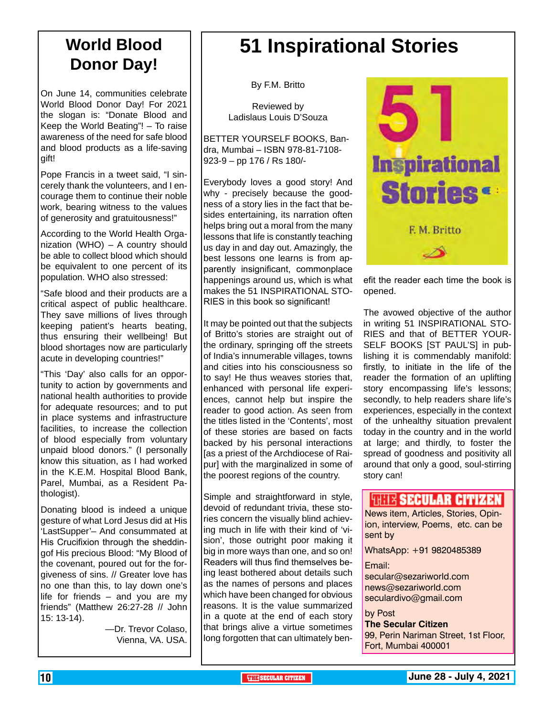### **World Blood Donor Day!**

On June 14, communities celebrate World Blood Donor Day! For 2021 the slogan is: "Donate Blood and Keep the World Beating"! – To raise awareness of the need for safe blood and blood products as a life-saving gift!

Pope Francis in a tweet said, "I sincerely thank the volunteers, and I encourage them to continue their noble work, bearing witness to the values of generosity and gratuitousness!"

According to the World Health Organization (WHO) – A country should be able to collect blood which should be equivalent to one percent of its population. WHO also stressed:

"Safe blood and their products are a critical aspect of public healthcare. They save millions of lives through keeping patient's hearts beating, thus ensuring their wellbeing! But blood shortages now are particularly acute in developing countries!"

"This 'Day' also calls for an opportunity to action by governments and national health authorities to provide for adequate resources; and to put in place systems and infrastructure facilities, to increase the collection of blood especially from voluntary unpaid blood donors." (I personally know this situation, as I had worked in the K.E.M. Hospital Blood Bank, Parel, Mumbai, as a Resident Pathologist).

Donating blood is indeed a unique gesture of what Lord Jesus did at His 'LastSupper'– And consummated at His Crucifixion through the sheddingof His precious Blood: "My Blood of the covenant, poured out for the forgiveness of sins. // Greater love has no one than this, to lay down one's life for friends – and you are my friends" (Matthew 26:27-28 // John 15: 13-14).

> —Dr. Trevor Colaso, Vienna, VA. USA.

## **51 Inspirational Stories**

By F.M. Britto

Reviewed by Ladislaus Louis D'Souza

BETTER YOURSELF BOOKS, Bandra, Mumbai – ISBN 978-81-7108- 923-9 – pp 176 / Rs 180/-

Everybody loves a good story! And why - precisely because the goodness of a story lies in the fact that besides entertaining, its narration often helps bring out a moral from the many lessons that life is constantly teaching us day in and day out. Amazingly, the best lessons one learns is from apparently insignificant, commonplace happenings around us, which is what makes the 51 INSPIRATIONAL STO-RIES in this book so significant!

It may be pointed out that the subjects of Britto's stories are straight out of the ordinary, springing off the streets of India's innumerable villages, towns and cities into his consciousness so to say! He thus weaves stories that, enhanced with personal life experiences, cannot help but inspire the reader to good action. As seen from the titles listed in the 'Contents', most of these stories are based on facts backed by his personal interactions [as a priest of the Archdiocese of Raipur] with the marginalized in some of the poorest regions of the country.

Simple and straightforward in style, devoid of redundant trivia, these stories concern the visually blind achieving much in life with their kind of 'vision', those outright poor making it big in more ways than one, and so on! Readers will thus find themselves being least bothered about details such as the names of persons and places which have been changed for obvious reasons. It is the value summarized in a quote at the end of each story that brings alive a virtue sometimes long forgotten that can ultimately ben-



efit the reader each time the book is opened.

The avowed objective of the author in writing 51 INSPIRATIONAL STO-RIES and that of BETTER YOUR-SELF BOOKS [ST PAUL'S] in publishing it is commendably manifold: firstly, to initiate in the life of the reader the formation of an uplifting story encompassing life's lessons; secondly, to help readers share life's experiences, especially in the context of the unhealthy situation prevalent today in the country and in the world at large; and thirdly, to foster the spread of goodness and positivity all around that only a good, soul-stirring story can!

#### **HELLA SECULAR CITIZEN**

News item, Articles, Stories, Opinion, interview, Poems, etc. can be sent by

WhatsApp: +91 9820485389

Email: secular@sezariworld.com

news@sezariworld.com seculardivo@gmail.com

#### by Post **The Secular Citizen** 99, Perin Nariman Street, 1st Floor, Fort, Mumbai 400001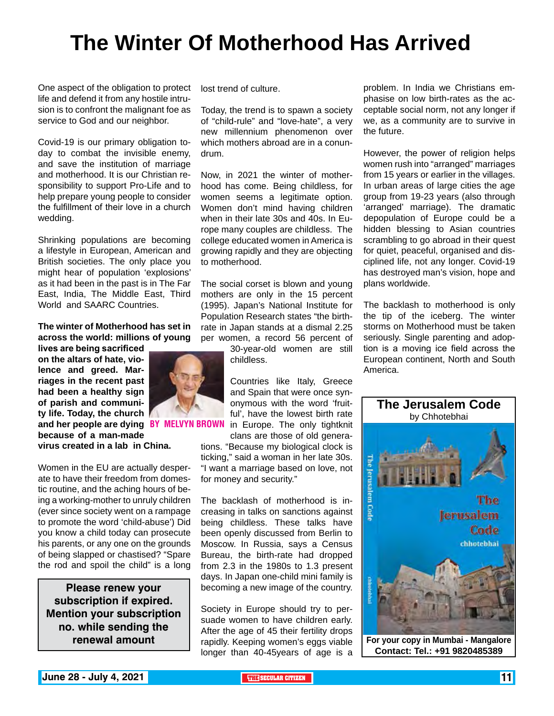## **The Winter Of Motherhood Has Arrived**

One aspect of the obligation to protect life and defend it from any hostile intrusion is to confront the malignant foe as service to God and our neighbor.

Covid-19 is our primary obligation today to combat the invisible enemy, and save the institution of marriage and motherhood. It is our Christian responsibility to support Pro-Life and to help prepare young people to consider the fulfillment of their love in a church wedding.

Shrinking populations are becoming a lifestyle in European, American and British societies. The only place you might hear of population 'explosions' as it had been in the past is in The Far East, India, The Middle East, Third World and SAARC Countries.

**The winter of Motherhood has set in across the world: millions of young** 

**lives are being sacrificed on the altars of hate, violence and greed. Marriages in the recent past had been a healthy sign of parish and community life. Today, the church and her people are dying because of a man-made virus created in a lab in China.**

Women in the EU are actually desperate to have their freedom from domestic routine, and the aching hours of being a working-mother to unruly children (ever since society went on a rampage to promote the word 'child-abuse') Did you know a child today can prosecute his parents, or any one on the grounds of being slapped or chastised? "Spare the rod and spoil the child" is a long

**Please renew your subscription if expired. Mention your subscription no. while sending the renewal amount**

lost trend of culture.

Today, the trend is to spawn a society of "child-rule" and "love-hate", a very new millennium phenomenon over which mothers abroad are in a conundrum.

Now, in 2021 the winter of motherhood has come. Being childless, for women seems a legitimate option. Women don't mind having children when in their late 30s and 40s. In Europe many couples are childless. The college educated women in America is growing rapidly and they are objecting to motherhood.

The social corset is blown and young mothers are only in the 15 percent (1995). Japan's National Institute for Population Research states "the birthrate in Japan stands at a dismal 2.25 per women, a record 56 percent of

> 30-year-old women are still childless.

Countries like Italy, Greece and Spain that were once synonymous with the word 'fruitful', have the lowest birth rate in Fare lowest birth rate<br>**BY MELVYN BROWN** in Europe. The only tightknit

clans are those of old generations. "Because my biological clock is ticking," said a woman in her late 30s. "I want a marriage based on love, not for money and security."

The backlash of motherhood is increasing in talks on sanctions against being childless. These talks have been openly discussed from Berlin to Moscow. In Russia, says a Census Bureau, the birth-rate had dropped from 2.3 in the 1980s to 1.3 present days. In Japan one-child mini family is becoming a new image of the country.

Society in Europe should try to persuade women to have children early. After the age of 45 their fertility drops rapidly. Keeping women's eggs viable longer than 40-45years of age is a

problem. In India we Christians emphasise on low birth-rates as the acceptable social norm, not any longer if we, as a community are to survive in the future.

However, the power of religion helps women rush into "arranged" marriages from 15 years or earlier in the villages. In urban areas of large cities the age group from 19-23 years (also through 'arranged' marriage). The dramatic depopulation of Europe could be a hidden blessing to Asian countries scrambling to go abroad in their quest for quiet, peaceful, organised and disciplined life, not any longer. Covid-19 has destroyed man's vision, hope and plans worldwide.

The backlash to motherhood is only the tip of the iceberg. The winter storms on Motherhood must be taken seriously. Single parenting and adoption is a moving ice field across the European continent, North and South America.



**Contact: Tel.: +91 9820485389**

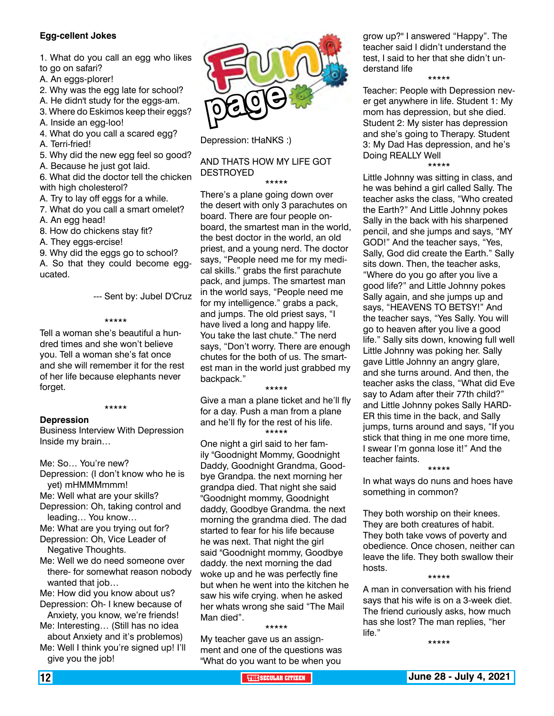#### **Egg-cellent Jokes**

- 1. What do you call an egg who likes to go on safari?
- 
- A. An eggs-plorer!
- 2. Why was the egg late for school?
- A. He didn't study for the eggs-am.
- 3. Where do Eskimos keep their eggs?
- A. Inside an egg-loo!
- 4. What do you call a scared egg?
- A. Terri-fried!
- 5. Why did the new egg feel so good?
- A. Because he just got laid.
- 6. What did the doctor tell the chicken with high cholesterol?
- A. Try to lay off eggs for a while.
- 7. What do you call a smart omelet?
- A. An egg head!
- 8. How do chickens stay fit?
- A. They eggs-ercise!

9. Why did the eggs go to school?

A. So that they could become eggucated.

--- Sent by: Jubel D'Cruz

#### \*\*\*\*\*

Tell a woman she's beautiful a hundred times and she won't believe you. Tell a woman she's fat once and she will remember it for the rest of her life because elephants never forget.

#### \*\*\*\*\*

#### **Depression**

Business Interview With Depression Inside my brain…

Me: So… You're new?

- Depression: (I don't know who he is yet) mHMMMmmm!
- Me: Well what are your skills?
- Depression: Oh, taking control and leading… You know…
- Me: What are you trying out for? Depression: Oh, Vice Leader of
- Negative Thoughts.
- Me: Well we do need someone over there- for somewhat reason nobody wanted that job…
- Me: How did you know about us? Depression: Oh- I knew because of
- Anxiety, you know, we're friends! Me: Interesting… (Still has no idea about Anxiety and it's problemos)
- Me: Well I think you're signed up! I'll give you the job!



Depression: tHaNKS :)

#### AND THATS HOW MY LIFE GOT DESTROYED

\*\*\*\*\*

There's a plane going down over the desert with only 3 parachutes on board. There are four people onboard, the smartest man in the world, the best doctor in the world, an old priest, and a young nerd. The doctor says, "People need me for my medical skills." grabs the first parachute pack, and jumps. The smartest man in the world says, "People need me for my intelligence." grabs a pack, and jumps. The old priest says, "I have lived a long and happy life. You take the last chute." The nerd says, "Don't worry. There are enough chutes for the both of us. The smartest man in the world just grabbed my backpack."

#### \*\*\*\*\*

Give a man a plane ticket and he'll fly for a day. Push a man from a plane and he'll fly for the rest of his life. \*\*\*\*\*

One night a girl said to her family "Goodnight Mommy, Goodnight Daddy, Goodnight Grandma, Goodbye Grandpa. the next morning her grandpa died. That night she said "Goodnight mommy, Goodnight daddy, Goodbye Grandma. the next morning the grandma died. The dad started to fear for his life because he was next. That night the girl said "Goodnight mommy, Goodbye daddy. the next morning the dad woke up and he was perfectly fine but when he went into the kitchen he saw his wife crying. when he asked her whats wrong she said "The Mail Man died".

\*\*\*\*\*

My teacher gave us an assignment and one of the questions was "What do you want to be when you

grow up?" I answered "Happy". The teacher said I didn't understand the test, I said to her that she didn't understand life

\*\*\*\*\*

Teacher: People with Depression never get anywhere in life. Student 1: My mom has depression, but she died. Student 2: My sister has depression and she's going to Therapy. Student 3: My Dad Has depression, and he's Doing REALLY Well

\*\*\*\*\*

Little Johnny was sitting in class, and he was behind a girl called Sally. The teacher asks the class, "Who created the Earth?" And Little Johnny pokes Sally in the back with his sharpened pencil, and she jumps and says, "MY GOD!" And the teacher says, "Yes, Sally, God did create the Earth." Sally sits down. Then, the teacher asks, "Where do you go after you live a good life?" and Little Johnny pokes Sally again, and she jumps up and says, "HEAVENS TO BETSY!" And the teacher says, "Yes Sally. You will go to heaven after you live a good life." Sally sits down, knowing full well Little Johnny was poking her. Sally gave Little Johnny an angry glare, and she turns around. And then, the teacher asks the class, "What did Eve say to Adam after their 77th child?" and Little Johnny pokes Sally HARD-ER this time in the back, and Sally jumps, turns around and says, "If you stick that thing in me one more time, I swear I'm gonna lose it!" And the teacher faints.

\*\*\*\*\*

In what ways do nuns and hoes have something in common?

They both worship on their knees. They are both creatures of habit. They both take vows of poverty and obedience. Once chosen, neither can leave the life. They both swallow their hosts.

A man in conversation with his friend says that his wife is on a 3-week diet. The friend curiously asks, how much has she lost? The man replies, "her life."

\*\*\*\*\*

\*\*\*\*\*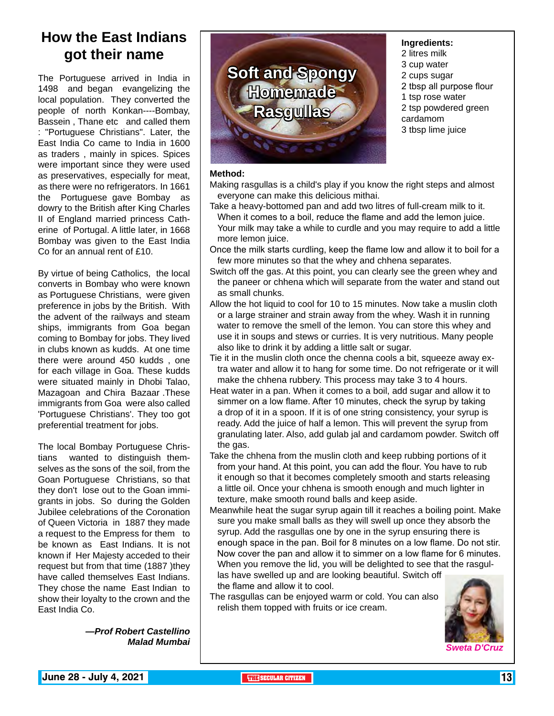### **How the East Indians got their name**

The Portuguese arrived in India in 1498 and began evangelizing the local population. They converted the people of north Konkan----Bombay, Bassein, Thane etc and called them : "Portuguese Christians". Later, the East India Co came to India in 1600 as traders , mainly in spices. Spices were important since they were used as preservatives, especially for meat, as there were no refrigerators. In 1661 the Portuguese gave Bombay as dowry to the British after King Charles II of England married princess Catherine of Portugal. A little later, in 1668 Bombay was given to the East India Co for an annual rent of £10.

By virtue of being Catholics, the local converts in Bombay who were known as Portuguese Christians, were given preference in jobs by the British. With the advent of the railways and steam ships, immigrants from Goa began coming to Bombay for jobs. They lived in clubs known as kudds. At one time there were around 450 kudds , one for each village in Goa. These kudds were situated mainly in Dhobi Talao, Mazagoan and Chira Bazaar .These immigrants from Goa were also called 'Portuguese Christians'. They too got preferential treatment for jobs.

The local Bombay Portuguese Christians wanted to distinguish themselves as the sons of the soil, from the Goan Portuguese Christians, so that they don't lose out to the Goan immigrants in jobs. So during the Golden Jubilee celebrations of the Coronation of Queen Victoria in 1887 they made a request to the Empress for them to be known as East Indians. It is not known if Her Majesty acceded to their request but from that time (1887 )they have called themselves East Indians. They chose the name East Indian to show their loyalty to the crown and the East India Co.

> *—Prof Robert Castellino Malad Mumbai*



#### **Ingredients:**

- 2 litres milk
- 3 cup water
- 2 cups sugar
- 2 tbsp all purpose flour
- 1 tsp rose water
- 2 tsp powdered green
- cardamom
- 3 tbsp lime juice

#### **Method:**

Making rasgullas is a child's play if you know the right steps and almost everyone can make this delicious mithai.

Take a heavy-bottomed pan and add two litres of full-cream milk to it. When it comes to a boil, reduce the flame and add the lemon juice.

Your milk may take a while to curdle and you may require to add a little more lemon juice.

- Once the milk starts curdling, keep the flame low and allow it to boil for a few more minutes so that the whey and chhena separates.
- Switch off the gas. At this point, you can clearly see the green whey and the paneer or chhena which will separate from the water and stand out as small chunks.
- Allow the hot liquid to cool for 10 to 15 minutes. Now take a muslin cloth or a large strainer and strain away from the whey. Wash it in running water to remove the smell of the lemon. You can store this whey and use it in soups and stews or curries. It is very nutritious. Many people also like to drink it by adding a little salt or sugar.
- Tie it in the muslin cloth once the chenna cools a bit, squeeze away extra water and allow it to hang for some time. Do not refrigerate or it will make the chhena rubbery. This process may take 3 to 4 hours.
- Heat water in a pan. When it comes to a boil, add sugar and allow it to simmer on a low flame. After 10 minutes, check the syrup by taking a drop of it in a spoon. If it is of one string consistency, your syrup is ready. Add the juice of half a lemon. This will prevent the syrup from granulating later. Also, add gulab jal and cardamom powder. Switch off the gas.
- Take the chhena from the muslin cloth and keep rubbing portions of it from your hand. At this point, you can add the flour. You have to rub it enough so that it becomes completely smooth and starts releasing a little oil. Once your chhena is smooth enough and much lighter in texture, make smooth round balls and keep aside.
- Meanwhile heat the sugar syrup again till it reaches a boiling point. Make sure you make small balls as they will swell up once they absorb the syrup. Add the rasgullas one by one in the syrup ensuring there is enough space in the pan. Boil for 8 minutes on a low flame. Do not stir. Now cover the pan and allow it to simmer on a low flame for 6 minutes. When you remove the lid, you will be delighted to see that the rasgullas have swelled up and are looking beautiful. Switch off

the flame and allow it to cool.

The rasgullas can be enjoyed warm or cold. You can also relish them topped with fruits or ice cream.



*Sweta D'Cruz*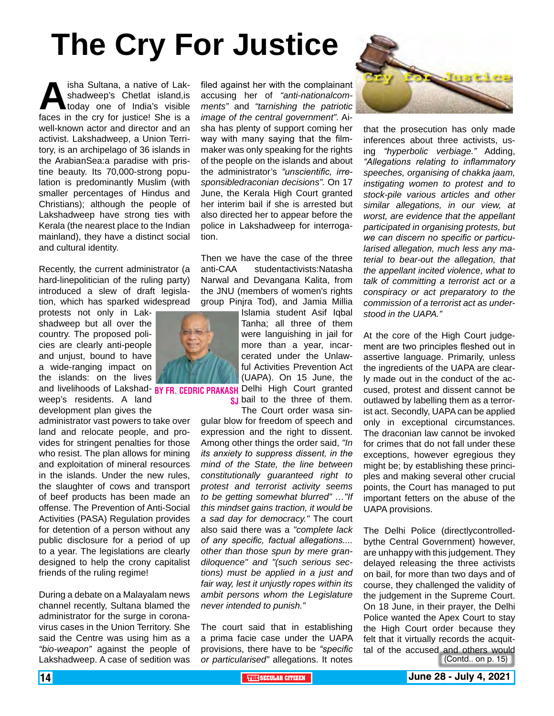# **The Cry For Justice**

**Altana, a native of Lak-**<br>shadweep's Chetlat island, is<br>faces in the cry for justice! She is a shadweep's Chetlat island,is today one of India's visible well-known actor and director and an activist. Lakshadweep, a Union Territory, is an archipelago of 36 islands in the ArabianSea:a paradise with pristine beauty. Its 70,000-strong population is predominantly Muslim (with smaller percentages of Hindus and Christians); although the people of Lakshadweep have strong ties with Kerala (the nearest place to the Indian mainland), they have a distinct social and cultural identity.

Recently, the current administrator (a hard-linepolitician of the ruling party) introduced a slew of draft legislation, which has sparked widespread

protests not only in Lakshadweep but all over the country. The proposed policies are clearly anti-people and unjust, bound to have a wide-ranging impact on the islands: on the lives

weep's residents. A land development plan gives the

administrator vast powers to take over land and relocate people, and provides for stringent penalties for those who resist. The plan allows for mining and exploitation of mineral resources in the islands. Under the new rules, the slaughter of cows and transport of beef products has been made an offense. The Prevention of Anti-Social Activities (PASA) Regulation provides for detention of a person without any public disclosure for a period of up to a year. The legislations are clearly designed to help the crony capitalist friends of the ruling regime!

During a debate on a Malayalam news channel recently, Sultana blamed the administrator for the surge in coronavirus cases in the Union Territory. She said the Centre was using him as a *"bio-weapon"* against the people of Lakshadweep. A case of sedition was

filed against her with the complainant accusing her of *"anti-nationalcomments"* and *"tarnishing the patriotic image of the central government".* Aisha has plenty of support coming her way with many saying that the filmmaker was only speaking for the rights of the people on the islands and about the administrator's *"unscientific, irresponsibledraconian decisions".* On 17 June, the Kerala High Court granted her interim bail if she is arrested but also directed her to appear before the police in Lakshadweep for interrogation.

Then we have the case of the three anti-CAA studentactivists:Natasha Narwal and Devangana Kalita, from the JNU (members of women's rights group Pinjra Tod), and Jamia Millia

Islamia student Asif Iqbal Tanha; all three of them were languishing in jail for more than a year, incarcerated under the Unlawful Activities Prevention Act (UAPA). On 15 June, the

and livelihoods of Lakshad- BY FR, CEDRIC PRAKASH Delhi High Court granted **s** bail to the three of them.

The Court order wasa singular blow for freedom of speech and expression and the right to dissent. Among other things the order said, *"In its anxiety to suppress dissent, in the mind of the State, the line between constitutionally guaranteed right to protest and terrorist activity seems to be getting somewhat blurred" …"If this mindset gains traction, it would be a sad day for democracy."* The court also said there was a *"complete lack of any specific, factual allegations.... other than those spun by mere grandiloquence" and "(such serious sections) must be applied in a just and fair way, lest it unjustly ropes within its ambit persons whom the Legislature never intended to punish."*

The court said that in establishing a prima facie case under the UAPA provisions, there have to be *"specific or particularised"* allegations. It notes



that the prosecution has only made inferences about three activists, using *"hyperbolic verbiage."* Adding, *"Allegations relating to inflammatory speeches, organising of chakka jaam, instigating women to protest and to stock-pile various articles and other similar allegations, in our view, at worst, are evidence that the appellant participated in organising protests, but we can discern no specific or particularised allegation, much less any material to bear-out the allegation, that the appellant incited violence, what to talk of committing a terrorist act or a conspiracy or act preparatory to the commission of a terrorist act as understood in the UAPA."*

At the core of the High Court judgement are two principles fleshed out in assertive language. Primarily, unless the ingredients of the UAPA are clearly made out in the conduct of the accused, protest and dissent cannot be outlawed by labelling them as a terrorist act. Secondly, UAPA can be applied only in exceptional circumstances. The draconian law cannot be invoked for crimes that do not fall under these exceptions, however egregious they might be; by establishing these principles and making several other crucial points, the Court has managed to put important fetters on the abuse of the UAPA provisions.

(Contd.. on p. 15) The Delhi Police (directlycontrolledbythe Central Government) however, are unhappy with this judgement. They delayed releasing the three activists on bail, for more than two days and of course, they challenged the validity of the judgement in the Supreme Court. On 18 June, in their prayer, the Delhi Police wanted the Apex Court to stay the High Court order because they felt that it virtually records the acquittal of the accused and others would

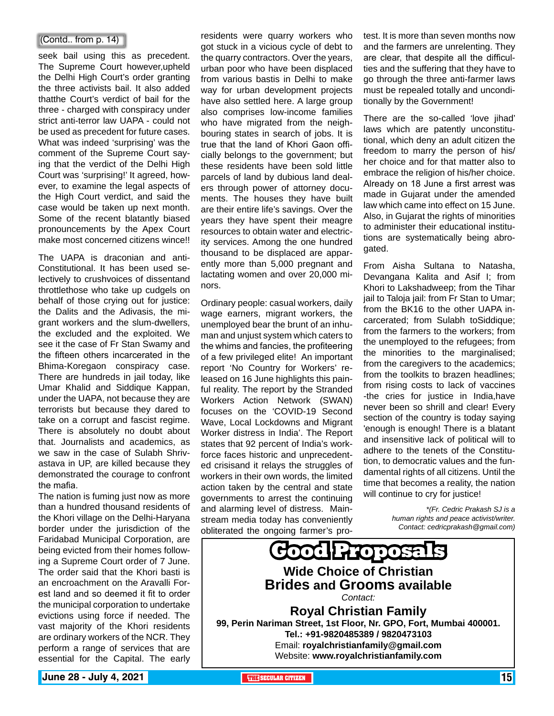#### (Contd.. from p. 14)

seek bail using this as precedent. The Supreme Court however,upheld the Delhi High Court's order granting the three activists bail. It also added thatthe Court's verdict of bail for the three - charged with conspiracy under strict anti-terror law UAPA - could not be used as precedent for future cases. What was indeed 'surprising' was the comment of the Supreme Court saying that the verdict of the Delhi High Court was 'surprising!' It agreed, however, to examine the legal aspects of the High Court verdict, and said the case would be taken up next month. Some of the recent blatantly biased pronouncements by the Apex Court make most concerned citizens wince!!

The UAPA is draconian and anti-Constitutional. It has been used selectively to crushvoices of dissentand throttlethose who take up cudgels on behalf of those crying out for justice: the Dalits and the Adivasis, the migrant workers and the slum-dwellers, the excluded and the exploited. We see it the case of Fr Stan Swamy and the fifteen others incarcerated in the Bhima-Koregaon conspiracy case. There are hundreds in jail today, like Umar Khalid and Siddique Kappan, under the UAPA, not because they are terrorists but because they dared to take on a corrupt and fascist regime. There is absolutely no doubt about that. Journalists and academics, as we saw in the case of Sulabh Shrivastava in UP, are killed because they demonstrated the courage to confront the mafia.

The nation is fuming just now as more than a hundred thousand residents of the Khori village on the Delhi-Haryana border under the jurisdiction of the Faridabad Municipal Corporation, are being evicted from their homes following a Supreme Court order of 7 June. The order said that the Khori basti is an encroachment on the Aravalli Forest land and so deemed it fit to order the municipal corporation to undertake evictions using force if needed. The vast majority of the Khori residents are ordinary workers of the NCR. They perform a range of services that are essential for the Capital. The early

residents were quarry workers who got stuck in a vicious cycle of debt to the quarry contractors. Over the years, urban poor who have been displaced from various bastis in Delhi to make way for urban development projects have also settled here. A large group also comprises low-income families who have migrated from the neighbouring states in search of jobs. It is true that the land of Khori Gaon officially belongs to the government; but these residents have been sold little parcels of land by dubious land dealers through power of attorney documents. The houses they have built are their entire life's savings. Over the years they have spent their meagre resources to obtain water and electricity services. Among the one hundred thousand to be displaced are apparently more than 5,000 pregnant and lactating women and over 20,000 minors.

Ordinary people: casual workers, daily wage earners, migrant workers, the unemployed bear the brunt of an inhuman and unjust system which caters to the whims and fancies, the profiteering of a few privileged elite! An important report 'No Country for Workers' released on 16 June highlights this painful reality. The report by the Stranded Workers Action Network (SWAN) focuses on the 'COVID-19 Second Wave, Local Lockdowns and Migrant Worker distress in India'. The Report states that 92 percent of India's workforce faces historic and unprecedented crisisand it relays the struggles of workers in their own words, the limited action taken by the central and state governments to arrest the continuing and alarming level of distress. Mainstream media today has conveniently obliterated the ongoing farmer's protest. It is more than seven months now and the farmers are unrelenting. They are clear, that despite all the difficulties and the suffering that they have to go through the three anti-farmer laws must be repealed totally and unconditionally by the Government!

There are the so-called 'love jihad' laws which are patently unconstitutional, which deny an adult citizen the freedom to marry the person of his/ her choice and for that matter also to embrace the religion of his/her choice. Already on 18 June a first arrest was made in Gujarat under the amended law which came into effect on 15 June. Also, in Gujarat the rights of minorities to administer their educational institutions are systematically being abrogated.

From Aisha Sultana to Natasha, Devangana Kalita and Asif I; from Khori to Lakshadweep; from the Tihar jail to Taloja jail: from Fr Stan to Umar; from the BK16 to the other UAPA incarcerated; from Sulabh toSiddique; from the farmers to the workers; from the unemployed to the refugees; from the minorities to the marginalised; from the caregivers to the academics; from the toolkits to brazen headlines; from rising costs to lack of vaccines -the cries for justice in India,have never been so shrill and clear! Every section of the country is today saying 'enough is enough! There is a blatant and insensitive lack of political will to adhere to the tenets of the Constitution, to democratic values and the fundamental rights of all citizens. Until the time that becomes a reality, the nation will continue to cry for justice!

> *\*(Fr. Cedric Prakash SJ is a human rights and peace activist/writer. Contact: cedricprakash@gmail.com)*

**Good Proposals Wide Choice of Christian Brides and Grooms available** *Contact:* **Royal Christian Family 99, Perin Nariman Street, 1st Floor, Nr. GPO, Fort, Mumbai 400001. Tel.: +91-9820485389 / 9820473103** Email: **royalchristianfamily@gmail.com** Website: **www.royalchristianfamily.com**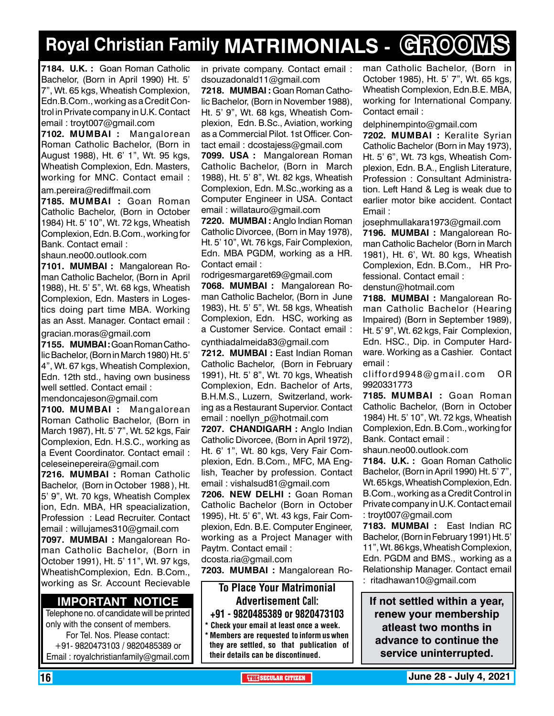## **Royal Christian Family MATRIMONIALS - GROOMS**

**7184. U.K. :** Goan Roman Catholic Bachelor, (Born in April 1990) Ht. 5' 7", Wt. 65 kgs, Wheatish Complexion, Edn.B.Com., working as a Credit Control in Private company in U.K. Contact email : troyt007@gmail.com

**7102. MUMBAI :** Mangalorean Roman Catholic Bachelor, (Born in August 1988), Ht. 6' 1", Wt. 95 kgs, Wheatish Complexion, Edn. Masters, working for MNC. Contact email :

am.pereira@rediffmail.com

**7185. MUMBAI :** Goan Roman Catholic Bachelor, (Born in October 1984) Ht. 5' 10", Wt. 72 kgs, Wheatish Complexion, Edn. B.Com., working for Bank. Contact email :

shaun.neo00.outlook.com

**7101. MUMBAI :** Mangalorean Roman Catholic Bachelor, (Born in April 1988), Ht. 5' 5", Wt. 68 kgs, Wheatish Complexion, Edn. Masters in Logestics doing part time MBA. Working as an Asst. Manager. Contact email :

gracian.moras@gmail.com

**7155. MUMBAI :** Goan Roman Catholic Bachelor, (Born in March 1980) Ht. 5' 4", Wt. 67 kgs, Wheatish Complexion, Edn. 12th std., having own business well settled. Contact email : mendoncajeson@gmail.com

**7100. MUMBAI :** Mangalorean Roman Catholic Bachelor, (Born in March 1987), Ht. 5' 7", Wt. 52 kgs, Fair Complexion, Edn. H.S.C., working as a Event Coordinator. Contact email : celeseinepereira@gmail.com

**7216. MUMBAI :** Roman Catholic Bachelor, (Born in October 1988 ), Ht. 5' 9", Wt. 70 kgs, Wheatish Complex ion, Edn. MBA, HR speacialization, Profession : Lead Recruiter. Contact email : willujames310@gmail.com **7097. MUMBAI :** Mangalorean Roman Catholic Bachelor, (Born in October 1991), Ht. 5' 11", Wt. 97 kgs, WheatishComplexion, Edn. B.Com., working as Sr. Account Recievable

#### **Important Notice**

Telephone no. of candidate will be printed only with the consent of members. For Tel. Nos. Please contact: +91- 9820473103 / 9820485389 or Email : royalchristianfamily@gmail.com

in private company. Contact email : dsouzadonald11@gmail.com

**7218. MUMBAI :** Goan Roman Catholic Bachelor, (Born in November 1988), Ht. 5' 9", Wt. 68 kgs, Wheatish Complexion, Edn. B.Sc., Aviation, working as a Commercial Pilot. 1st Officer. Contact email : dcostajess@gmail.com

**7099. USA :** Mangalorean Roman Catholic Bachelor, (Born in March 1988), Ht. 5' 8", Wt. 82 kgs, Wheatish Complexion, Edn. M.Sc.,working as a Computer Engineer in USA. Contact email : willatauro@gmail.com

**7220. MUMBAI :** Anglo Indian Roman Catholic Divorcee, (Born in May 1978), Ht. 5' 10", Wt. 76 kgs, Fair Complexion, Edn. MBA PGDM, working as a HR. Contact email :

rodrigesmargaret69@gmail.com

**7068. MUMBAI :** Mangalorean Roman Catholic Bachelor, (Born in June 1983), Ht. 5' 5", Wt. 58 kgs, Wheatish Complexion, Edn. HSC, working as a Customer Service. Contact email :

cynthiadalmeida83@gmail.com **7212. MUMBAI :** East Indian Roman Catholic Bachelor, (Born in February 1991), Ht. 5' 8", Wt. 70 kgs, Wheatish Complexion, Edn. Bachelor of Arts, B.H.M.S., Luzern, Switzerland, working as a Restaurant Supervior. Contact email : noellyn\_p@hotmail.com

**7207. Chandigarh :** Anglo Indian Catholic Divorcee, (Born in April 1972), Ht. 6' 1", Wt. 80 kgs, Very Fair Complexion, Edn. B.Com., MFC, MA English, Teacher by profession. Contact email : vishalsud81@gmail.com

**7206. new delhi :** Goan Roman Catholic Bachelor (Born in October 1995), Ht. 5' 6", Wt. 43 kgs, Fair Complexion, Edn. B.E. Computer Engineer, working as a Project Manager with Paytm. Contact email :

dcosta.ria@gmail.com

**7203. MUMBAI :** Mangalorean Ro-

#### To Place Your Matrimonial Advertisement Call: +91 - 9820485389 or 9820473103

\* Check your email at least once a week.

Members are requested to inform us when they are settled, so that publication of their details can be discontinued.

man Catholic Bachelor, (Born in October 1985), Ht. 5' 7", Wt. 65 kgs, Wheatish Complexion, Edn.B.E. MBA, working for International Company. Contact email :

delphinempinto@gmail.com

**7202. MUMBAI :** Keralite Syrian Catholic Bachelor (Born in May 1973), Ht. 5' 6", Wt. 73 kgs, Wheatish Complexion, Edn. B.A., English Literature, Profession : Consultant Administration. Left Hand & Leg is weak due to earlier motor bike accident. Contact Email :

josephmullakara1973@gmail.com **7196. MUMBAI :** Mangalorean Roman Catholic Bachelor (Born in March 1981), Ht. 6', Wt. 80 kgs, Wheatish Complexion, Edn. B.Com., HR Professional. Contact email : denstun@hotmail.com

**7188. MUMBAI :** Mangalorean Roman Catholic Bachelor (Hearing Impaired) (Born in September 1989), Ht. 5' 9", Wt. 62 kgs, Fair Complexion, Edn. HSC., Dip. in Computer Hardware. Working as a Cashier. Contact email :

clifford9948@gmail.com OR 9920331773

**7185. MUMBAI :** Goan Roman Catholic Bachelor, (Born in October 1984) Ht. 5' 10", Wt. 72 kgs, Wheatish Complexion, Edn. B.Com., working for Bank. Contact email :

shaun.neo00.outlook.com

**7184. U.K. :** Goan Roman Catholic Bachelor, (Born in April 1990) Ht. 5' 7", Wt. 65 kgs, Wheatish Complexion, Edn. B.Com., working as a Credit Control in Private company in U.K. Contact email : troyt007@gmail.com

**7183. MUMBAI :** East Indian RC Bachelor, (Born in February 1991) Ht. 5' 11", Wt. 86 kgs, Wheatish Complexion, Edn. PGDM and BMS., working as a Relationship Manager. Contact email : ritadhawan10@gmail.com

**If not settled within a year, renew your membership atleast two months in advance to continue the service uninterrupted.**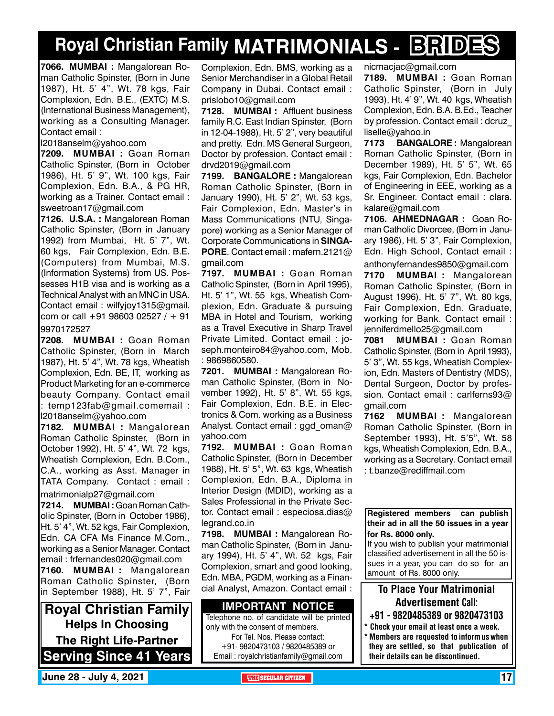## **Royal Christian Family MATRIMONIALS - BRIDES**

**7066. MUMBAI :** Mangalorean Roman Catholic Spinster, (Born in June 1987), Ht. 5' 4", Wt. 78 kgs, Fair Complexion, Edn. B.E., (EXTC) M.S. (International Business Management), working as a Consulting Manager. Contact email :

l2018anselm@yahoo.com

**7209. MUMBAI :** Goan Roman Catholic Spinster, (Born in October 1986), Ht. 5' 9", Wt. 100 kgs, Fair Complexion, Edn. B.A., & PG HR, working as a Trainer. Contact email : sweetroan17@gmail.com

**7126. U.S.A. :** Mangalorean Roman Catholic Spinster, (Born in January 1992) from Mumbai, Ht. 5' 7", Wt. 60 kgs, Fair Complexion, Edn. B.E. (Computers) from Mumbai, M.S. (Information Systems) from US. Possesses H1B visa and is working as a Technical Analyst with an MNC in USA. Contact email : wilfyjoy1315@gmail. com or call +91 98603 02527 / + 91 9970172527

**7208. MUMBAI :** Goan Roman Catholic Spinster, (Born in March 1987), Ht. 5' 4", Wt. 78 kgs, Wheatish Complexion, Edn. BE, IT, working as Product Marketing for an e-commerce beauty Company. Contact email : temp123fab@gmail.comemail : l2018anselm@yahoo.com

**7182. MUMBAI :** Mangalorean Roman Catholic Spinster, (Born in October 1992), Ht. 5' 4", Wt. 72 kgs, Wheatish Complexion, Edn. B.Com., C.A., working as Asst. Manager in TATA Company. Contact : email : matrimonialp27@gmail.com

**7214. MUMBAI :** Goan Roman Catholic Spinster, (Born in October 1986), Ht. 5' 4", Wt. 52 kgs, Fair Complexion, Edn. CA CFA Ms Finance M.Com., working as a Senior Manager. Contact email : frfernandes020@gmail.com

**7160. MUMBAI :** Mangalorean Roman Catholic Spinster, (Born in September 1988), Ht. 5' 7", Fair

**Royal Christian Family Helps In Choosing The Right Life-Partner Serving Since 41 Years** Complexion, Edn. BMS, working as a Senior Merchandiser in a Global Retail Company in Dubai. Contact email : prislobo10@gmail.com

**7128. MUMBAI :** Affluent business family R.C. East Indian Spinster, (Born in 12-04-1988), Ht. 5' 2", very beautiful and pretty. Edn. MS General Surgeon, Doctor by profession. Contact email : drvd2019@gmail.com

**7199. BANGALORE :** Mangalorean Roman Catholic Spinster, (Born in January 1990), Ht. 5' 2", Wt. 53 kgs, Fair Complexion, Edn. Master's in Mass Communications (NTU, Singapore) working as a Senior Manager of Corporate Communications in **SINGA-PORE**. Contact email : mafern.2121@ gmail.com

**7197. MUMBAI :** Goan Roman Catholic Spinster, (Born in April 1995), Ht. 5' 1", Wt. 55 kgs, Wheatish Complexion, Edn. Graduate & pursuing MBA in Hotel and Tourism, working as a Travel Executive in Sharp Travel Private Limited. Contact email : joseph.monteiro84@yahoo.com, Mob. : 9869860580.

**7201. MUMBAI :** Mangalorean Roman Catholic Spinster, (Born in November 1992), Ht. 5' 8", Wt. 55 kgs, Fair Complexion, Edn. B.E. in Electronics & Com. working as a Business Analyst. Contact email : ggd\_oman@ yahoo.com

**7192. MUMBAI :** Goan Roman Catholic Spinster, (Born in December 1988), Ht. 5' 5", Wt. 63 kgs, Wheatish Complexion, Edn. B.A., Diploma in Interior Design (MDID), working as a Sales Professional in the Private Sector. Contact email : especiosa.dias@ legrand.co.in

**7198. MUMBAI :** Mangalorean Roman Catholic Spinster, (Born in January 1994), Ht. 5' 4", Wt. 52 kgs, Fair Complexion, smart and good looking, Edn. MBA, PGDM, working as a Financial Analyst, Amazon. Contact email :

#### **Important Notice**

Telephone no. of candidate will be printed only with the consent of members. For Tel. Nos. Please contact: +91- 9820473103 / 9820485389 or Email : royalchristianfamily@gmail.com

nicmacjac@gmail.com

**7189. MUMBAI :** Goan Roman Catholic Spinster, (Born in July 1993), Ht. 4' 9", Wt. 40 kgs, Wheatish Complexion, Edn. B.A. B.Ed., Teacher by profession. Contact email : dcruz\_ liselle@yahoo.in

**7173 BANGALORE :** Mangalorean Roman Catholic Spinster, (Born in December 1989), Ht. 5' 5", Wt. 65 kgs, Fair Complexion, Edn. Bachelor of Engineering in EEE, working as a Sr. Engineer. Contact email : clara. kalare@gmail.com

**7106. Ahmednagar :** Goan Roman Catholic Divorcee, (Born in January 1986), Ht. 5' 3", Fair Complexion, Edn. High School, Contact email : anthonyfernandes9850@gmail.com

**7170 MUMBAI :** Mangalorean Roman Catholic Spinster, (Born in August 1996), Ht. 5' 7", Wt. 80 kgs, Fair Complexion, Edn. Graduate, working for Bank. Contact email : jenniferdmello25@gmail.com

**7081 MUMBAI :** Goan Roman Catholic Spinster, (Born in April 1993), 5' 3", Wt. 55 kgs, Wheatish Complexion, Edn. Masters of Dentistry (MDS), Dental Surgeon, Doctor by profession. Contact email : carlferns93@ gmail.com

**7162 MUMBAI :** Mangalorean Roman Catholic Spinster, (Born in September 1993), Ht. 5'5", Wt. 58 kgs, Wheatish Complexion, Edn. B.A., working as a Secretary. Contact email : t.banze@rediffmail.com

**Registered members can publish their ad in all the 50 issues in a year for Rs. 8000 only.**

If you wish to publish your matrimonial classified advertisement in all the 50 issues in a year, you can do so for an amount of Rs. 8000 only.

### To Place Your Matrimonial Advertisement Call:

- +91 9820485389 or 9820473103
- \* Check your email at least once a week. \* Members are requested to inform us when they are settled, so that publication of their details can be discontinued.

**June 28 - July 4, 2021 THE SECULAR CITIZEN** 17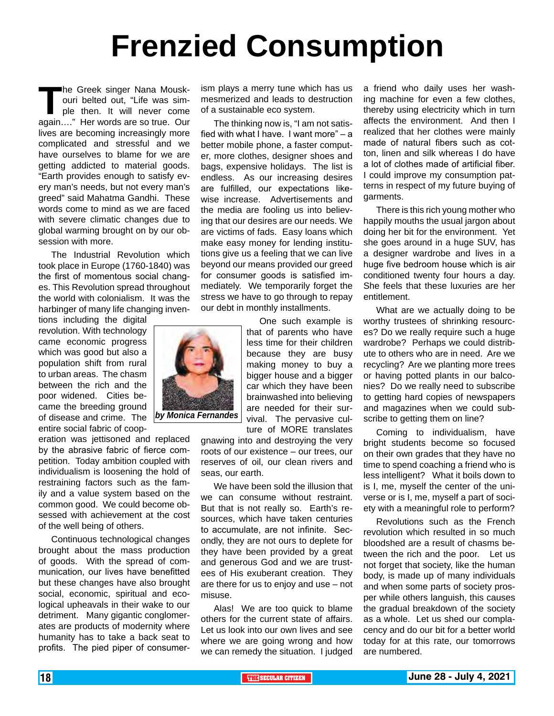# **Frenzied Consumption**

**The Greek singer Nana Mousk-**<br>
ouri belted out, "Life was sim-<br>
ple then. It will never come<br>
again...." Her words are so true. Our ouri belted out, "Life was simple then. It will never come again…." Her words are so true. Our lives are becoming increasingly more complicated and stressful and we have ourselves to blame for we are getting addicted to material goods. "Earth provides enough to satisfy every man's needs, but not every man's greed" said Mahatma Gandhi. These words come to mind as we are faced with severe climatic changes due to global warming brought on by our obsession with more.

The Industrial Revolution which took place in Europe (1760-1840) was the first of momentous social changes. This Revolution spread throughout the world with colonialism. It was the harbinger of many life changing inven-

tions including the digital revolution. With technology came economic progress which was good but also a population shift from rural to urban areas. The chasm between the rich and the poor widened. Cities became the breeding ground of disease and crime. The entire social fabric of coop-

eration was jettisoned and replaced by the abrasive fabric of fierce competition. Today ambition coupled with individualism is loosening the hold of restraining factors such as the family and a value system based on the common good. We could become obsessed with achievement at the cost of the well being of others.

Continuous technological changes brought about the mass production of goods. With the spread of communication, our lives have benefitted but these changes have also brought social, economic, spiritual and ecological upheavals in their wake to our detriment. Many gigantic conglomerates are products of modernity where humanity has to take a back seat to profits. The pied piper of consumerism plays a merry tune which has us mesmerized and leads to destruction of a sustainable eco system.

The thinking now is, "I am not satisfied with what I have. I want more" – a better mobile phone, a faster computer, more clothes, designer shoes and bags, expensive holidays. The list is endless. As our increasing desires are fulfilled, our expectations likewise increase. Advertisements and the media are fooling us into believing that our desires are our needs. We are victims of fads. Easy loans which make easy money for lending institutions give us a feeling that we can live beyond our means provided our greed for consumer goods is satisfied immediately. We temporarily forget the stress we have to go through to repay our debt in monthly installments.

> One such example is that of parents who have less time for their children because they are busy making money to buy a bigger house and a bigger car which they have been brainwashed into believing are needed for their survival. The pervasive culture of MORE translates

gnawing into and destroying the very roots of our existence – our trees, our reserves of oil, our clean rivers and seas, our earth.

We have been sold the illusion that we can consume without restraint. But that is not really so. Earth's resources, which have taken centuries to accumulate, are not infinite. Secondly, they are not ours to deplete for they have been provided by a great and generous God and we are trustees of His exuberant creation. They are there for us to enjoy and use – not misuse.

Alas! We are too quick to blame others for the current state of affairs. Let us look into our own lives and see where we are going wrong and how we can remedy the situation. I judged

a friend who daily uses her washing machine for even a few clothes, thereby using electricity which in turn affects the environment. And then I realized that her clothes were mainly made of natural fibers such as cotton, linen and silk whereas I do have a lot of clothes made of artificial fiber. I could improve my consumption patterns in respect of my future buying of garments.

There is this rich young mother who happily mouths the usual jargon about doing her bit for the environment. Yet she goes around in a huge SUV, has a designer wardrobe and lives in a huge five bedroom house which is air conditioned twenty four hours a day. She feels that these luxuries are her entitlement.

What are we actually doing to be worthy trustees of shrinking resources? Do we really require such a huge wardrobe? Perhaps we could distribute to others who are in need. Are we recycling? Are we planting more trees or having potted plants in our balconies? Do we really need to subscribe to getting hard copies of newspapers and magazines when we could subscribe to getting them on line?

Coming to individualism, have bright students become so focused on their own grades that they have no time to spend coaching a friend who is less intelligent? What it boils down to is I, me, myself the center of the universe or is I, me, myself a part of society with a meaningful role to perform?

Revolutions such as the French revolution which resulted in so much bloodshed are a result of chasms between the rich and the poor. Let us not forget that society, like the human body, is made up of many individuals and when some parts of society prosper while others languish, this causes the gradual breakdown of the society as a whole. Let us shed our complacency and do our bit for a better world today for at this rate, our tomorrows are numbered.

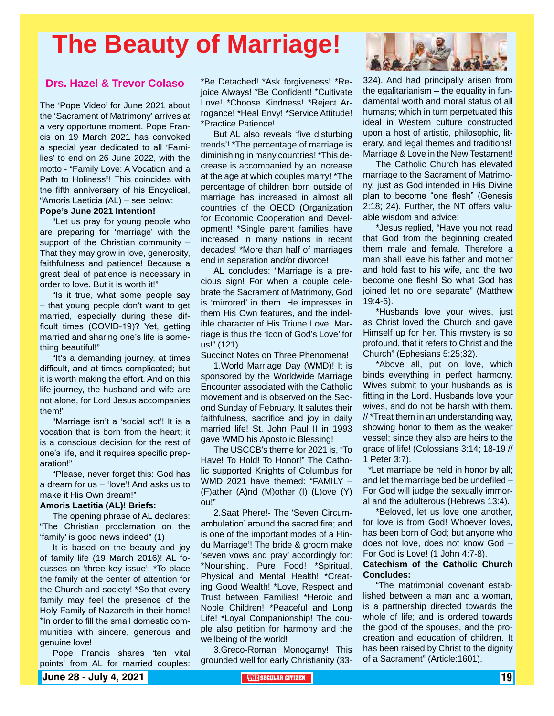## **The Beauty of Marriage!**

#### **Drs. Hazel & Trevor Colaso**

The 'Pope Video' for June 2021 about the 'Sacrament of Matrimony' arrives at a very opportune moment. Pope Francis on 19 March 2021 has convoked a special year dedicated to all 'Families' to end on 26 June 2022, with the motto - "Family Love: A Vocation and a Path to Holiness"! This coincides with the fifth anniversary of his Encyclical, "Amoris Laeticia (AL) – see below:

#### **Pope's June 2021 Intention!**

"Let us pray for young people who are preparing for 'marriage' with the support of the Christian community – That they may grow in love, generosity, faithfulness and patience! Because a great deal of patience is necessary in order to love. But it is worth it!"

"Is it true, what some people say – that young people don't want to get married, especially during these difficult times (COVID-19)? Yet, getting married and sharing one's life is something beautiful!"

"It's a demanding journey, at times difficult, and at times complicated; but it is worth making the effort. And on this life-journey, the husband and wife are not alone, for Lord Jesus accompanies them!"

"Marriage isn't a 'social act'! It is a vocation that is born from the heart; it is a conscious decision for the rest of one's life, and it requires specific preparation!"

"Please, never forget this: God has a dream for us – 'love'! And asks us to make it His Own dream!"

#### **Amoris Laetitia (AL)! Briefs:**

The opening phrase of AL declares: "The Christian proclamation on the 'family' is good news indeed" (1)

It is based on the beauty and joy of family life (19 March 2016)! AL focusses on 'three key issue': \*To place the family at the center of attention for the Church and society! \*So that every family may feel the presence of the Holy Family of Nazareth in their home! \*In order to fill the small domestic communities with sincere, generous and genuine love!

Pope Francis shares 'ten vital points' from AL for married couples:

\*Be Detached! \*Ask forgiveness! \*Rejoice Always! \*Be Confident! \*Cultivate Love! \*Choose Kindness! \*Reject Arrogance! \*Heal Envy! \*Service Attitude! \*Practice Patience!

But AL also reveals 'five disturbing trends'! \*The percentage of marriage is diminishing in many countries! \*This decrease is accompanied by an increase at the age at which couples marry! \*The percentage of children born outside of marriage has increased in almost all countries of the OECD (Organization for Economic Cooperation and Development! \*Single parent families have increased in many nations in recent decades! \*More than half of marriages end in separation and/or divorce!

AL concludes: "Marriage is a precious sign! For when a couple celebrate the Sacrament of Matrimony, God is 'mirrored' in them. He impresses in them His Own features, and the indelible character of His Triune Love! Marriage is thus the 'Icon of God's Love' for us!" (121).

Succinct Notes on Three Phenomena!

1.World Marriage Day (WMD)! It is sponsored by the Worldwide Marriage Encounter associated with the Catholic movement and is observed on the Second Sunday of February. It salutes their faithfulness, sacrifice and joy in daily married life! St. John Paul II in 1993 gave WMD his Apostolic Blessing!

The USCCB's theme for 2021 is, "To Have! To Hold! To Honor!" The Catholic supported Knights of Columbus for WMD 2021 have themed: "FAMILY – (F)ather (A)nd (M)other (I) (L)ove (Y) ou!"

2.Saat Phere!- The 'Seven Circumambulation' around the sacred fire; and is one of the important modes of a Hindu Marriage'! The bride & groom make 'seven vows and pray' accordingly for: \*Nourishing, Pure Food! \*Spiritual, Physical and Mental Health! \*Creating Good Wealth! \*Love, Respect and Trust between Families! \*Heroic and Noble Children! \*Peaceful and Long Life! \*Loyal Companionship! The couple also petition for harmony and the wellbeing of the world!

3.Greco-Roman Monogamy! This grounded well for early Christianity (33-



324). And had principally arisen from the egalitarianism – the equality in fundamental worth and moral status of all humans; which in turn perpetuated this ideal in Western culture constructed upon a host of artistic, philosophic, literary, and legal themes and traditions! Marriage & Love in the New Testament!

The Catholic Church has elevated marriage to the Sacrament of Matrimony, just as God intended in His Divine plan to become "one flesh" (Genesis 2:18; 24). Further, the NT offers valuable wisdom and advice:

\*Jesus replied, "Have you not read that God from the beginning created them male and female. Therefore a man shall leave his father and mother and hold fast to his wife, and the two become one flesh! So what God has joined let no one separate" (Matthew 19:4-6).

\*Husbands love your wives, just as Christ loved the Church and gave Himself up for her. This mystery is so profound, that it refers to Christ and the Church" (Ephesians 5:25;32).

\*Above all, put on love, which binds everything in perfect harmony. Wives submit to your husbands as is fitting in the Lord. Husbands love your wives, and do not be harsh with them. // \*Treat them in an understanding way, showing honor to them as the weaker vessel; since they also are heirs to the grace of life! (Colossians 3:14; 18-19 // 1 Peter 3:7).

 \*Let marriage be held in honor by all; and let the marriage bed be undefiled – For God will judge the sexually immoral and the adulterous (Hebrews 13:4).

\*Beloved, let us love one another, for love is from God! Whoever loves, has been born of God; but anyone who does not love, does not know God – For God is Love! (1 John 4:7-8).

#### **Catechism of the Catholic Church Concludes:**

"The matrimonial covenant established between a man and a woman, is a partnership directed towards the whole of life; and is ordered towards the good of the spouses, and the procreation and education of children. It has been raised by Christ to the dignity of a Sacrament" (Article:1601).